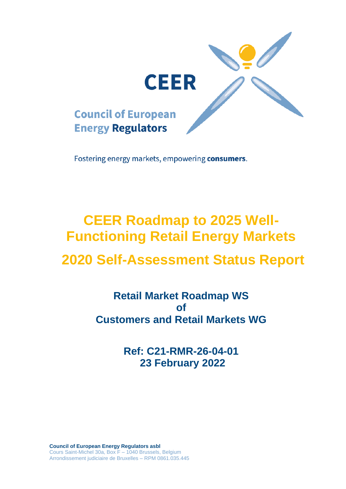

Fostering energy markets, empowering consumers.

# **CEER Roadmap to 2025 Well-Functioning Retail Energy Markets**

# **2020 Self-Assessment Status Report**

# **Retail Market Roadmap WS of Customers and Retail Markets WG**

**Ref: C21-RMR-26-04-01 23 February 2022**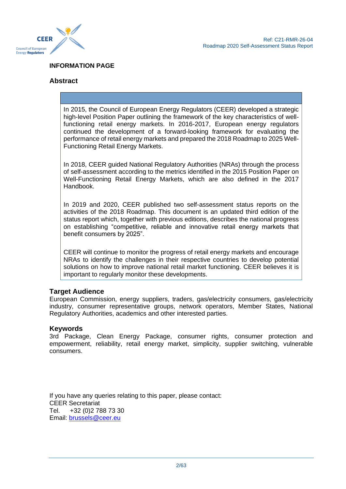

# **INFORMATION PAGE**

#### **Abstract**

In 2015, the Council of European Energy Regulators (CEER) developed a strategic high-level Position Paper outlining the framework of the key characteristics of wellfunctioning retail energy markets. In 2016-2017, European energy regulators continued the development of a forward-looking framework for evaluating the performance of retail energy markets and prepared the 2018 Roadmap to 2025 Well-Functioning Retail Energy Markets.

In 2018, CEER guided National Regulatory Authorities (NRAs) through the process of self-assessment according to the metrics identified in the 2015 Position Paper on Well-Functioning Retail Energy Markets, which are also defined in the 2017 Handbook.

In 2019 and 2020, CEER published two self-assessment status reports on the activities of the 2018 Roadmap. This document is an updated third edition of the status report which, together with previous editions, describes the national progress on establishing "competitive, reliable and innovative retail energy markets that benefit consumers by 2025".

CEER will continue to monitor the progress of retail energy markets and encourage NRAs to identify the challenges in their respective countries to develop potential solutions on how to improve national retail market functioning. CEER believes it is important to regularly monitor these developments.

#### **Target Audience**

European Commission, energy suppliers, traders, gas/electricity consumers, gas/electricity industry, consumer representative groups, network operators, Member States, National Regulatory Authorities, academics and other interested parties.

#### **Keywords**

3rd Package, Clean Energy Package, consumer rights, consumer protection and empowerment, reliability, retail energy market, simplicity, supplier switching, vulnerable consumers.

If you have any queries relating to this paper, please contact: CEER Secretariat Tel. +32 (0)2 788 73 30 Email: [brussels@ceer.eu](mailto:brussels@ceer.eu)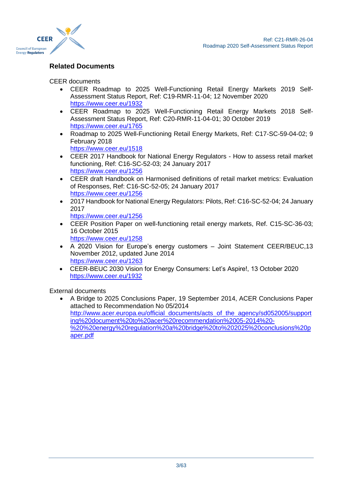

# **Related Documents**

CEER documents

- CEER Roadmap to 2025 Well-Functioning Retail Energy Markets 2019 Self-Assessment Status Report, Ref: C19-RMR-11-04; 12 November 2020 <https://www.ceer.eu/1932>
- CEER Roadmap to 2025 Well-Functioning Retail Energy Markets 2018 Self-Assessment Status Report, Ref: C20-RMR-11-04-01; 30 October 2019 <https://www.ceer.eu/1765>
- Roadmap to 2025 Well-Functioning Retail Energy Markets, Ref: C17-SC-59-04-02; 9 February 2018

<https://www.ceer.eu/1518>

- CEER 2017 Handbook for National Energy Regulators How to assess retail market functioning, Ref: C16-SC-52-03; 24 January 2017 <https://www.ceer.eu/1256>
- CEER draft Handbook on Harmonised definitions of retail market metrics: Evaluation of Responses, Ref: C16-SC-52-05; 24 January 2017 <https://www.ceer.eu/1256>
- 2017 Handbook for National Energy Regulators: Pilots, Ref: C16-SC-52-04; 24 January 2017 <https://www.ceer.eu/1256>
- CEER Position Paper on well-functioning retail energy markets, Ref. C15-SC-36-03; 16 October 2015 <https://www.ceer.eu/1258>
- A 2020 Vision for Europe's energy customers Joint Statement CEER/BEUC,13 November 2012, updated June 2014 <https://www.ceer.eu/1263>
- CEER-BEUC 2030 Vision for Energy Consumers: Let's Aspire!, 13 October 2020 <https://www.ceer.eu/1932>

External documents

• A Bridge to 2025 Conclusions Paper, 19 September 2014, ACER Conclusions Paper attached to Recommendation No 05/2014 [http://www.acer.europa.eu/official\\_documents/acts\\_of\\_the\\_agency/sd052005/support](http://www.acer.europa.eu/official_documents/acts_of_the_agency/sd052005/supporting%20document%20to%20acer%20recommendation%2005-2014%20-%20%20energy%20regulation%20a%20bridge%20to%202025%20conclusions%20paper.pdf) [ing%20document%20to%20acer%20recommendation%2005-2014%20-](http://www.acer.europa.eu/official_documents/acts_of_the_agency/sd052005/supporting%20document%20to%20acer%20recommendation%2005-2014%20-%20%20energy%20regulation%20a%20bridge%20to%202025%20conclusions%20paper.pdf) [%20%20energy%20regulation%20a%20bridge%20to%202025%20conclusions%20p](http://www.acer.europa.eu/official_documents/acts_of_the_agency/sd052005/supporting%20document%20to%20acer%20recommendation%2005-2014%20-%20%20energy%20regulation%20a%20bridge%20to%202025%20conclusions%20paper.pdf) [aper.pdf](http://www.acer.europa.eu/official_documents/acts_of_the_agency/sd052005/supporting%20document%20to%20acer%20recommendation%2005-2014%20-%20%20energy%20regulation%20a%20bridge%20to%202025%20conclusions%20paper.pdf)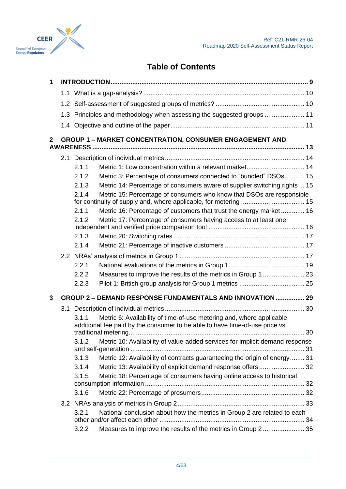



# **Table of Contents**

| 1            |                                                                        |       |                                                                                                                                                       |  |  |  |  |  |
|--------------|------------------------------------------------------------------------|-------|-------------------------------------------------------------------------------------------------------------------------------------------------------|--|--|--|--|--|
|              |                                                                        |       |                                                                                                                                                       |  |  |  |  |  |
|              |                                                                        |       |                                                                                                                                                       |  |  |  |  |  |
|              | 1.3 Principles and methodology when assessing the suggested groups  11 |       |                                                                                                                                                       |  |  |  |  |  |
|              |                                                                        |       |                                                                                                                                                       |  |  |  |  |  |
| $\mathbf{2}$ |                                                                        |       | <b>GROUP 1 - MARKET CONCENTRATION, CONSUMER ENGAGEMENT AND</b>                                                                                        |  |  |  |  |  |
|              |                                                                        |       |                                                                                                                                                       |  |  |  |  |  |
|              |                                                                        |       |                                                                                                                                                       |  |  |  |  |  |
|              |                                                                        | 2.1.1 | Metric 1: Low concentration within a relevant market 14                                                                                               |  |  |  |  |  |
|              |                                                                        | 2.1.2 | Metric 3: Percentage of consumers connected to "bundled" DSOs 15                                                                                      |  |  |  |  |  |
|              |                                                                        | 2.1.3 | Metric 14: Percentage of consumers aware of supplier switching rights  15                                                                             |  |  |  |  |  |
|              |                                                                        | 2.1.4 | Metric 15: Percentage of consumers who know that DSOs are responsible                                                                                 |  |  |  |  |  |
|              |                                                                        |       |                                                                                                                                                       |  |  |  |  |  |
|              |                                                                        | 2.1.1 | Metric 16: Percentage of customers that trust the energy market 16                                                                                    |  |  |  |  |  |
|              |                                                                        | 2.1.2 | Metric 17: Percentage of consumers having access to at least one                                                                                      |  |  |  |  |  |
|              |                                                                        | 2.1.3 |                                                                                                                                                       |  |  |  |  |  |
|              |                                                                        | 2.1.4 |                                                                                                                                                       |  |  |  |  |  |
|              |                                                                        |       |                                                                                                                                                       |  |  |  |  |  |
|              |                                                                        | 2.2.1 |                                                                                                                                                       |  |  |  |  |  |
|              |                                                                        | 2.2.2 | Measures to improve the results of the metrics in Group 1  23                                                                                         |  |  |  |  |  |
|              |                                                                        | 2.2.3 |                                                                                                                                                       |  |  |  |  |  |
| 3            |                                                                        |       | GROUP 2 - DEMAND RESPONSE FUNDAMENTALS AND INNOVATION  29                                                                                             |  |  |  |  |  |
|              |                                                                        |       |                                                                                                                                                       |  |  |  |  |  |
|              |                                                                        | 3.1.1 | Metric 6: Availability of time-of-use metering and, where applicable,<br>additional fee paid by the consumer to be able to have time-of-use price vs. |  |  |  |  |  |
|              |                                                                        | 3.1.2 | Metric 10: Availability of value-added services for implicit demand response                                                                          |  |  |  |  |  |
|              |                                                                        | 3.1.3 | Metric 12: Availability of contracts guaranteeing the origin of energy 31                                                                             |  |  |  |  |  |
|              |                                                                        | 3.1.4 | Metric 13: Availability of explicit demand response offers 32                                                                                         |  |  |  |  |  |
|              |                                                                        | 3.1.5 | Metric 18: Percentage of consumers having online access to historical                                                                                 |  |  |  |  |  |
|              |                                                                        | 3.1.6 |                                                                                                                                                       |  |  |  |  |  |
|              |                                                                        |       |                                                                                                                                                       |  |  |  |  |  |
|              |                                                                        | 3.2.1 | National conclusion about how the metrics in Group 2 are related to each                                                                              |  |  |  |  |  |
|              |                                                                        | 3.2.2 | Measures to improve the results of the metrics in Group 2 35                                                                                          |  |  |  |  |  |
|              |                                                                        |       |                                                                                                                                                       |  |  |  |  |  |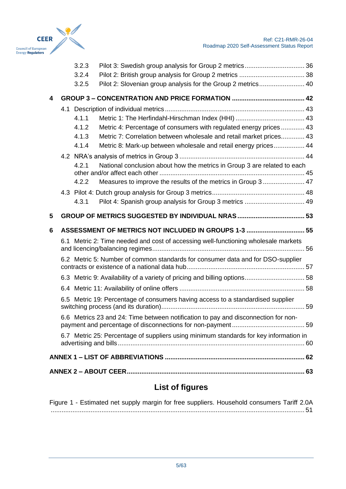

|   | 3.2.3<br>3.2.4<br>3.2.5 | Pilot 2: Slovenian group analysis for the Group 2 metrics 40                          |  |
|---|-------------------------|---------------------------------------------------------------------------------------|--|
| 4 |                         |                                                                                       |  |
|   |                         |                                                                                       |  |
|   | 4.1.1                   |                                                                                       |  |
|   | 4.1.2                   | Metric 4: Percentage of consumers with regulated energy prices  43                    |  |
|   | 4.1.3                   | Metric 7: Correlation between wholesale and retail market prices 43                   |  |
|   | 4.1.4                   | Metric 8: Mark-up between wholesale and retail energy prices 44                       |  |
|   |                         |                                                                                       |  |
|   | 4.2.1                   | National conclusion about how the metrics in Group 3 are related to each              |  |
|   | 4.2.2                   | Measures to improve the results of the metrics in Group 3 47                          |  |
|   |                         |                                                                                       |  |
|   | 4.3.1                   | Pilot 4: Spanish group analysis for Group 3 metrics  49                               |  |
| 5 |                         |                                                                                       |  |
|   |                         |                                                                                       |  |
| 6 |                         | ASSESSMENT OF METRICS NOT INCLUDED IN GROUPS 1-3  55                                  |  |
|   |                         | 6.1 Metric 2: Time needed and cost of accessing well-functioning wholesale markets    |  |
|   |                         | 6.2 Metric 5: Number of common standards for consumer data and for DSO-supplier       |  |
|   |                         |                                                                                       |  |
|   |                         |                                                                                       |  |
|   |                         | 6.5 Metric 19: Percentage of consumers having access to a standardised supplier       |  |
|   |                         | 6.6 Metrics 23 and 24: Time between notification to pay and disconnection for non-    |  |
|   |                         | 6.7 Metric 25: Percentage of suppliers using minimum standards for key information in |  |
|   |                         |                                                                                       |  |

# **List of figures**

|  | Figure 1 - Estimated net supply margin for free suppliers. Household consumers Tariff 2.0A |  |  |
|--|--------------------------------------------------------------------------------------------|--|--|
|  |                                                                                            |  |  |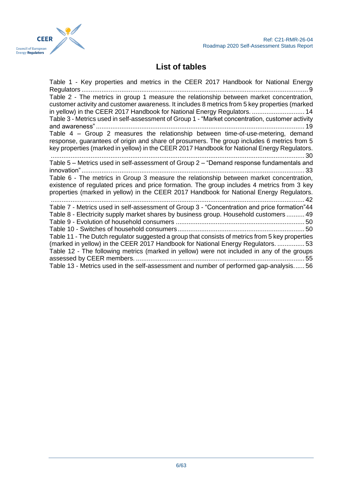

# **List of tables**

Table 1 - [Key properties and metrics in the CEER 2017 Handbook for National Energy](#page-8-1)  Regulators [.............................................................................................................................](#page-8-1) 9 Table 2 - [The metrics in group 1 measure the relationship between market concentration,](#page-13-2)  [customer activity and customer awareness. It includes 8 metrics from 5 key properties \(marked](#page-13-2)  [in yellow\) in the CEER 2017 Handbook for National Energy Regulators.](#page-13-2) ............................. 14 Table 3 - [Metrics used in self-assessment of Group 1 -](#page-18-1) "Market concentration, customer activity and awareness" [...................................................................................................................](#page-18-1) 19 Table 4 – Group 2 measures the [relationship between time-of-use-metering, demand](#page-29-2)  [response, guarantees of origin and share of prosumers. The group includes 6 metrics from 5](#page-29-2)  [key properties \(marked in yellow\) in the CEER 2017 Handbook for National Energy Regulators.](#page-29-2) [............................................................................................................................................](#page-29-2) 30 Table 5 – [Metrics used in self-assessment of Group 2 –](#page-32-1) "Demand response fundamentals and [innovation"...........................................................................................................................](#page-32-1) 33 Table 6 - [The metrics in Group 3 measure the relationship between market concentration,](#page-41-1)  [existence of regulated prices and price formation. The group includes 4 metrics from 3 key](#page-41-1)  [properties \(marked in yellow\) in the CEER 2017 Handbook for National Energy Regulators.](#page-41-1) [............................................................................................................................................](#page-41-1) 42 Table 7 - [Metrics used in self-assessment of Group 3 -](#page-43-2) "Concentration and price formation"44 Table 8 - [Electricity supply market shares by business group. Household customers](#page-48-1) .......... 49 Table 9 - Evolution of household consumers [.......................................................................](#page-49-0) 50 Table 10 - [Switches of household consumers......................................................................](#page-49-1) 50 Table 11 - [The Dutch regulator suggested a group that consists of metrics from 5 key properties](#page-52-1)  [\(marked in yellow\) in the CEER 2017 Handbook for National Energy Regulators.](#page-52-1) ............... 53 Table 12 - [The following metrics \(marked in yellow\) were not included in any of the groups](#page-54-1)  assessed by CEER members. [.............................................................................................](#page-54-1) 55 Table 13 - [Metrics used in the self-assessment and number of performed gap-analysis......](#page-55-1) 56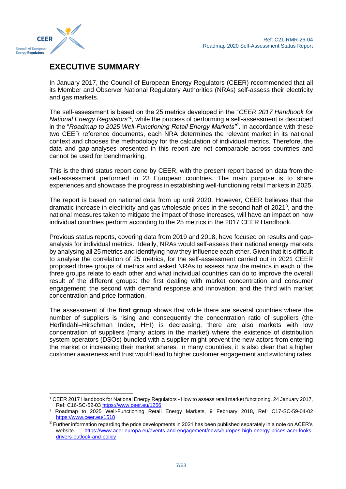

# **EXECUTIVE SUMMARY**

In January 2017, the Council of European Energy Regulators (CEER) recommended that all its Member and Observer National Regulatory Authorities (NRAs) self-assess their electricity and gas markets.

The self-assessment is based on the 25 metrics developed in the "*CEER 2017 Handbook for National Energy Regulators"<sup>1</sup>*, while the process of performing a self-assessment is described in the "*Roadmap to 2025 Well-Functioning Retail Energy Markets"<sup>2</sup>* . In accordance with these two CEER reference documents, each NRA determines the relevant market in its national context and chooses the methodology for the calculation of individual metrics. Therefore, the data and gap-analyses presented in this report are not comparable across countries and cannot be used for benchmarking.

This is the third status report done by CEER, with the present report based on data from the self-assessment performed in 23 European countries. The main purpose is to share experiences and showcase the progress in establishing well-functioning retail markets in 2025.

The report is based on national data from up until 2020. However, CEER believes that the dramatic increase in electricity and gas wholesale prices in the second half of 2021<sup>3</sup>, and the national measures taken to mitigate the impact of those increases, will have an impact on how individual countries perform according to the 25 metrics in the 2017 CEER Handbook.

Previous status reports, covering data from 2019 and 2018, have focused on results and gapanalysis for individual metrics. Ideally, NRAs would self-assess their national energy markets by analysing all 25 metrics and identifying how they influence each other. Given that it is difficult to analyse the correlation of 25 metrics, for the self-assessment carried out in 2021 CEER proposed three groups of metrics and asked NRAs to assess how the metrics in each of the three groups relate to each other and what individual countries can do to improve the overall result of the different groups: the first dealing with market concentration and consumer engagement; the second with demand response and innovation; and the third with market concentration and price formation.

The assessment of the **first group** shows that while there are several countries where the number of suppliers is rising and consequently the concentration ratio of suppliers (the Herfindahl–Hirschman Index, HHI) is decreasing, there are also markets with low concentration of suppliers (many actors in the market) where the existence of distribution system operators (DSOs) bundled with a supplier might prevent the new actors from entering the market or increasing their market shares. In many countries, it is also clear that a higher customer awareness and trust would lead to higher customer engagement and switching rates.

<sup>1</sup> CEER 2017 Handbook for National Energy Regulators - How to assess retail market functioning, 24 January 2017, Ref: C16-SC-52-03<https://www.ceer.eu/1256>

<sup>2</sup> Roadmap to 2025 Well-Functioning Retail Energy Markets, 9 February 2018, Ref: C17-SC-59-04-02 <https://www.ceer.eu/1518>

 $3$  Further information regarding the price developments in 2021 has been published separately in a note on ACER's website.: [https://www.acer.europa.eu/events-and-engagement/news/europes-high-energy-prices-acer-looks](https://www.acer.europa.eu/events-and-engagement/news/europes-high-energy-prices-acer-looks-drivers-outlook-and-policy)[drivers-outlook-and-policy](https://www.acer.europa.eu/events-and-engagement/news/europes-high-energy-prices-acer-looks-drivers-outlook-and-policy)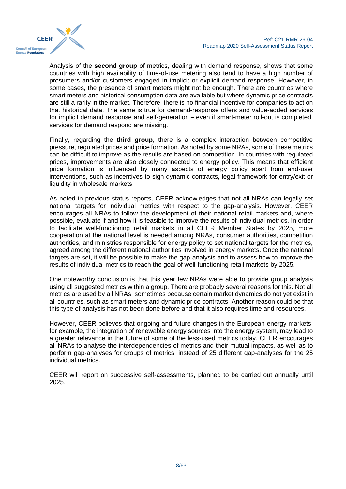

Analysis of the **second group** of metrics, dealing with demand response, shows that some countries with high availability of time-of-use metering also tend to have a high number of prosumers and/or customers engaged in implicit or explicit demand response. However, in some cases, the presence of smart meters might not be enough. There are countries where smart meters and historical consumption data are available but where dynamic price contracts are still a rarity in the market. Therefore, there is no financial incentive for companies to act on that historical data. The same is true for demand-response offers and value-added services for implicit demand response and self-generation – even if smart-meter roll-out is completed, services for demand respond are missing.

Finally, regarding the **third group**, there is a complex interaction between competitive pressure, regulated prices and price formation. As noted by some NRAs, some of these metrics can be difficult to improve as the results are based on competition. In countries with regulated prices, improvements are also closely connected to energy policy. This means that efficient price formation is influenced by many aspects of energy policy apart from end-user interventions, such as incentives to sign dynamic contracts, legal framework for entry/exit or liquidity in wholesale markets.

As noted in previous status reports, CEER acknowledges that not all NRAs can legally set national targets for individual metrics with respect to the gap-analysis. However, CEER encourages all NRAs to follow the development of their national retail markets and, where possible, evaluate if and how it is feasible to improve the results of individual metrics. In order to facilitate well-functioning retail markets in all CEER Member States by 2025, more cooperation at the national level is needed among NRAs, consumer authorities, competition authorities, and ministries responsible for energy policy to set national targets for the metrics, agreed among the different national authorities involved in energy markets. Once the national targets are set, it will be possible to make the gap-analysis and to assess how to improve the results of individual metrics to reach the goal of well-functioning retail markets by 2025.

One noteworthy conclusion is that this year few NRAs were able to provide group analysis using all suggested metrics within a group. There are probably several reasons for this. Not all metrics are used by all NRAs, sometimes because certain market dynamics do not yet exist in all countries, such as smart meters and dynamic price contracts. Another reason could be that this type of analysis has not been done before and that it also requires time and resources.

However, CEER believes that ongoing and future changes in the European energy markets, for example, the integration of renewable energy sources into the energy system, may lead to a greater relevance in the future of some of the less-used metrics today. CEER encourages all NRAs to analyse the interdependencies of metrics and their mutual impacts, as well as to perform gap-analyses for groups of metrics, instead of 25 different gap-analyses for the 25 individual metrics.

CEER will report on successive self-assessments, planned to be carried out annually until 2025.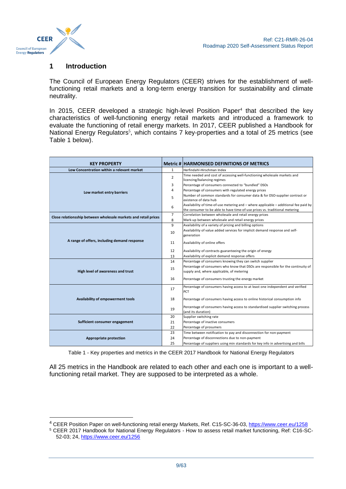

#### <span id="page-8-0"></span>**1 Introduction**

The Council of European Energy Regulators (CEER) strives for the establishment of wellfunctioning retail markets and a long-term energy transition for sustainability and climate neutrality.

In 2015, CEER developed a strategic high-level Position Paper<sup>4</sup> that described the key characteristics of well-functioning energy retail markets and introduced a framework to evaluate the functioning of retail energy markets. In 2017, CEER published a Handbook for National Energy Regulators<sup>5</sup>, which contains 7 key-properties and a total of 25 metrics (see [Table 1](#page-8-1) below).

| <b>KEY PROPERTY</b>                                             |                | <b>Metric # HARMONISED DEFINITIONS OF METRICS</b>                                                                                                                   |
|-----------------------------------------------------------------|----------------|---------------------------------------------------------------------------------------------------------------------------------------------------------------------|
| Low Concentration within a relevant market                      | $\mathbf{1}$   | Herfindahl-Hirschman Index                                                                                                                                          |
|                                                                 | $\overline{2}$ | Time needed and cost of accessing well-functioning wholesale markets and<br>licencing/balancing regimes                                                             |
|                                                                 |                | Percentage of consumers connected to "bundled" DSOs                                                                                                                 |
| Low market entry barriers                                       | 4              | Percentage of consumers with regulated energy prices                                                                                                                |
|                                                                 | 5              | Number of common standards for consumer data & for DSO-supplier contract or<br>existence of data hub                                                                |
|                                                                 |                | Availability of time-of-use metering and - where applicable - additional fee paid by<br>the consumer to be able to have time-of-use prices vs. traditional metering |
| Close relationsship between wholesale markets and retail prices | $\overline{7}$ | Correlation between wholesale and retail energy prices                                                                                                              |
|                                                                 | 8              | Mark-up between wholesale and retail energy prices                                                                                                                  |
|                                                                 | 9              | Availability of a variety of pricing and billing options                                                                                                            |
|                                                                 | 10             | Availability of value added services for implicit demand response and self-<br>generation                                                                           |
| A range of offers, including demand response                    | 11             | Availability of online offers                                                                                                                                       |
|                                                                 | 12             | Availability of contracts guaranteeing the origin of energy                                                                                                         |
|                                                                 | 13             | Availability of explicit demand response offers                                                                                                                     |
|                                                                 | 14             | Percentage of consumers knowing they can switch supplier                                                                                                            |
| High level of awareness and trust                               | 15             | Percentage of consumers who know that DSOs are responsible for the continuity of<br>supply and, where applicable, of metering                                       |
|                                                                 | 16             | Percentage of consumers trusting the energy market                                                                                                                  |
|                                                                 | 17             | Percentage of consumers having access to at least one independent and verified<br>PCT                                                                               |
| Availability of empowerment tools                               | 18             | Percentage of consumers having access to online historical consumption info                                                                                         |
|                                                                 | 19             | Percentage of consumers having access to standardised supplier switching process<br>(and its duration)                                                              |
|                                                                 | 20             | Supplier switching rate                                                                                                                                             |
| Sufficient consumer engagement                                  | 21             | Percentage of inactive consumers                                                                                                                                    |
|                                                                 | 22             | Percentage of prosumers                                                                                                                                             |
|                                                                 | 23             | Time between notification to pay and disconnection for non-payment                                                                                                  |
| <b>Appropriate protection</b>                                   | 24             | Percentage of disconnections due to non-payment                                                                                                                     |
|                                                                 | 25             | Percentage of suppliers using min standards for key info in advertising and bills                                                                                   |

Table 1 - Key properties and metrics in the CEER 2017 Handbook for National Energy Regulators

<span id="page-8-1"></span>All 25 metrics in the Handbook are related to each other and each one is important to a wellfunctioning retail market. They are supposed to be interpreted as a whole.

<sup>&</sup>lt;sup>4</sup> CEER Position Paper on well-functioning retail energy Markets, Ref. C15-SC-36-03,<https://www.ceer.eu/1258>

<sup>5</sup> CEER 2017 Handbook for National Energy Regulators - How to assess retail market functioning, Ref: C16-SC-52-03; 24[, https://www.ceer.eu/1256](https://www.ceer.eu/1256)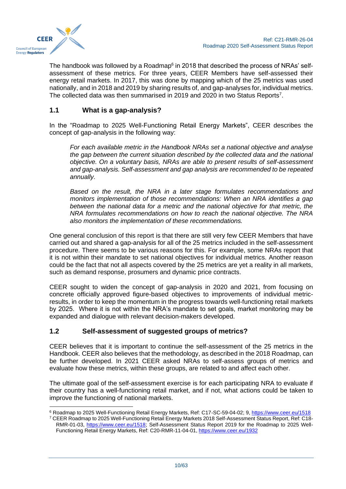

The handbook was followed by a Roadmap $^{\rm 6}$  in 2018 that described the process of NRAs' selfassessment of these metrics. For three years, CEER Members have self-assessed their energy retail markets. In 2017, this was done by mapping which of the 25 metrics was used nationally, and in 2018 and 2019 by sharing results of, and gap-analyses for, individual metrics. The collected data was then summarised in 2019 and 2020 in two Status Reports<sup>7</sup>.

# <span id="page-9-0"></span>**1.1 What is a gap-analysis?**

In the "Roadmap to 2025 Well-Functioning Retail Energy Markets", CEER describes the concept of gap-analysis in the following way:

*For each available metric in the Handbook NRAs set a national objective and analyse the gap between the current situation described by the collected data and the national objective. On a voluntary basis, NRAs are able to present results of self-assessment and gap-analysis. Self-assessment and gap analysis are recommended to be repeated annually.*

*Based on the result, the NRA in a later stage formulates recommendations and monitors implementation of those recommendations: When an NRA identifies a gap between the national data for a metric and the national objective for that metric, the NRA formulates recommendations on how to reach the national objective. The NRA also monitors the implementation of these recommendations.*

One general conclusion of this report is that there are still very few CEER Members that have carried out and shared a gap-analysis for all of the 25 metrics included in the self-assessment procedure. There seems to be various reasons for this. For example, some NRAs report that it is not within their mandate to set national objectives for individual metrics. Another reason could be the fact that not all aspects covered by the 25 metrics are yet a reality in all markets, such as demand response, prosumers and dynamic price contracts.

CEER sought to widen the concept of gap-analysis in 2020 and 2021, from focusing on concrete officially approved figure-based objectives to improvements of individual metricresults, in order to keep the momentum in the progress towards well-functioning retail markets by 2025. Where it is not within the NRA's mandate to set goals, market monitoring may be expanded and dialogue with relevant decision-makers developed.

# <span id="page-9-1"></span>**1.2 Self-assessment of suggested groups of metrics?**

CEER believes that it is important to continue the self-assessment of the 25 metrics in the Handbook. CEER also believes that the methodology, as described in the 2018 Roadmap, can be further developed. In 2021 CEER asked NRAs to self-assess groups of metrics and evaluate how these metrics, within these groups, are related to and affect each other.

The ultimate goal of the self-assessment exercise is for each participating NRA to evaluate if their country has a well-functioning retail market, and if not, what actions could be taken to improve the functioning of national markets.

<sup>6</sup> Roadmap to 2025 Well-Functioning Retail Energy Markets, Ref: C17-SC-59-04-02; 9,<https://www.ceer.eu/1518>

<sup>7</sup> CEER Roadmap to 2025 Well-Functioning Retail Energy Markets 2018 Self-Assessment Status Report, Ref: C18- RMR-01-03, [https://www.ceer.eu/1518;](https://www.ceer.eu/1518) Self-Assessment Status Report 2019 for the Roadmap to 2025 Well-Functioning Retail Energy Markets, Ref: C20-RMR-11-04-01,<https://www.ceer.eu/1932>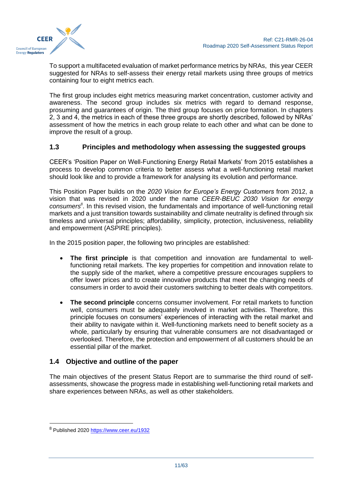

To support a multifaceted evaluation of market performance metrics by NRAs, this year CEER suggested for NRAs to self-assess their energy retail markets using three groups of metrics containing four to eight metrics each.

The first group includes eight metrics measuring market concentration, customer activity and awareness. The second group includes six metrics with regard to demand response, prosuming and guarantees of origin. The third group focuses on price formation. In chapters 2, 3 and 4, the metrics in each of these three groups are shortly described, followed by NRAs' assessment of how the metrics in each group relate to each other and what can be done to improve the result of a group.

#### <span id="page-10-0"></span>**1.3 Principles and methodology when assessing the suggested groups**

CEER's 'Position Paper on Well-Functioning Energy Retail Markets' from 2015 establishes a process to develop common criteria to better assess what a well-functioning retail market should look like and to provide a framework for analysing its evolution and performance.

This Position Paper builds on the *2020 Vision for Europe's Energy Customers* from 2012, a vision that was revised in 2020 under the name *CEER-BEUC 2030 Vision for energy consumers<sup>8</sup>* . In this revised vision, the fundamentals and importance of well-functioning retail markets and a just transition towards sustainability and climate neutrality is defined through six timeless and universal principles; affordability, simplicity, protection, inclusiveness, reliability and empowerment (ASPIRE principles).

In the 2015 position paper, the following two principles are established:

- **The first principle** is that competition and innovation are fundamental to wellfunctioning retail markets. The key properties for competition and innovation relate to the supply side of the market, where a competitive pressure encourages suppliers to offer lower prices and to create innovative products that meet the changing needs of consumers in order to avoid their customers switching to better deals with competitors.
- **The second principle** concerns consumer involvement. For retail markets to function well, consumers must be adequately involved in market activities. Therefore, this principle focuses on consumers' experiences of interacting with the retail market and their ability to navigate within it. Well-functioning markets need to benefit society as a whole, particularly by ensuring that vulnerable consumers are not disadvantaged or overlooked. Therefore, the protection and empowerment of all customers should be an essential pillar of the market.

# <span id="page-10-1"></span>**1.4 Objective and outline of the paper**

The main objectives of the present Status Report are to summarise the third round of selfassessments, showcase the progress made in establishing well-functioning retail markets and share experiences between NRAs, as well as other stakeholders.

<sup>8</sup> Published 2020<https://www.ceer.eu/1932>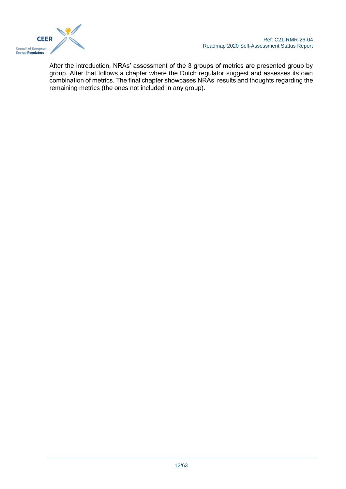

After the introduction, NRAs' assessment of the 3 groups of metrics are presented group by group. After that follows a chapter where the Dutch regulator suggest and assesses its own combination of metrics. The final chapter showcases NRAs' results and thoughts regarding the remaining metrics (the ones not included in any group).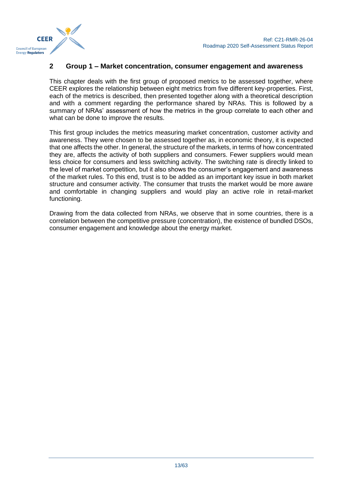

#### <span id="page-12-0"></span>**2 Group 1 – Market concentration, consumer engagement and awareness**

This chapter deals with the first group of proposed metrics to be assessed together, where CEER explores the relationship between eight metrics from five different key-properties. First, each of the metrics is described, then presented together along with a theoretical description and with a comment regarding the performance shared by NRAs. This is followed by a summary of NRAs' assessment of how the metrics in the group correlate to each other and what can be done to improve the results.

This first group includes the metrics measuring market concentration, customer activity and awareness. They were chosen to be assessed together as, in economic theory, it is expected that one affects the other. In general, the structure of the markets, in terms of how concentrated they are, affects the activity of both suppliers and consumers. Fewer suppliers would mean less choice for consumers and less switching activity. The switching rate is directly linked to the level of market competition, but it also shows the consumer's engagement and awareness of the market rules. To this end, trust is to be added as an important key issue in both market structure and consumer activity. The consumer that trusts the market would be more aware and comfortable in changing suppliers and would play an active role in retail-market functioning.

Drawing from the data collected from NRAs, we observe that in some countries, there is a correlation between the competitive pressure (concentration), the existence of bundled DSOs, consumer engagement and knowledge about the energy market.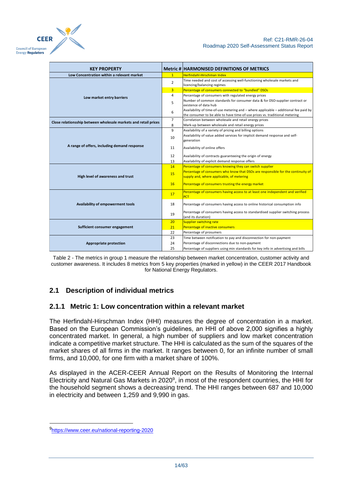| <b>KEY PROPERTY</b>                                             |                 | <b>Metric # HARMONISED DEFINITIONS OF METRICS</b>                                                                                                                   |
|-----------------------------------------------------------------|-----------------|---------------------------------------------------------------------------------------------------------------------------------------------------------------------|
| Low Concentration within a relevant market                      | 1               | Herfindahl-Hirschman Index                                                                                                                                          |
|                                                                 | $\overline{2}$  | Time needed and cost of accessing well-functioning wholesale markets and<br>licencing/balancing regimes                                                             |
|                                                                 | 3 <sup>2</sup>  | Percentage of consumers connected to "bundled" DSOs                                                                                                                 |
| Low market entry barriers                                       | 4               | Percentage of consumers with regulated energy prices                                                                                                                |
|                                                                 | 5               | Number of common standards for consumer data & for DSO-supplier contract or<br>existence of data hub                                                                |
|                                                                 | 6               | Availability of time-of-use metering and - where applicable - additional fee paid by<br>the consumer to be able to have time-of-use prices vs. traditional metering |
| Close relationsship between wholesale markets and retail prices | $\overline{7}$  | Correlation between wholesale and retail energy prices                                                                                                              |
|                                                                 | 8               | Mark-up between wholesale and retail energy prices                                                                                                                  |
|                                                                 | 9               | Availability of a variety of pricing and billing options                                                                                                            |
|                                                                 | 10              | Availability of value added services for implicit demand response and self-                                                                                         |
|                                                                 |                 | generation                                                                                                                                                          |
| A range of offers, including demand response                    | 11              | Availability of online offers                                                                                                                                       |
|                                                                 | 12              | Availability of contracts guaranteeing the origin of energy                                                                                                         |
|                                                                 | 13              | Availability of explicit demand response offers                                                                                                                     |
|                                                                 | 14              | Percentage of consumers knowing they can switch supplier                                                                                                            |
| High level of awareness and trust                               | 15              | Percentage of consumers who know that DSOs are responsible for the continuity of<br>supply and, where applicable, of metering                                       |
|                                                                 | 16              | Percentage of consumers trusting the energy market                                                                                                                  |
|                                                                 | 17              | Percentage of consumers having access to at least one independent and verified<br>PCT                                                                               |
| Availability of empowerment tools                               | 18              | Percentage of consumers having access to online historical consumption info                                                                                         |
|                                                                 | 19              | Percentage of consumers having access to standardised supplier switching process<br>(and its duration)                                                              |
|                                                                 | 20 <sup>2</sup> | <b>Supplier switching rate</b>                                                                                                                                      |
| Sufficient consumer engagement                                  | 21              | Percentage of inactive consumers                                                                                                                                    |
|                                                                 | 22              | Percentage of prosumers                                                                                                                                             |
|                                                                 | 23              | Time between notification to pay and disconnection for non-payment                                                                                                  |
| Appropriate protection                                          | 24              | Percentage of disconnections due to non-payment                                                                                                                     |
|                                                                 | 25              | Percentage of suppliers using min standards for key info in advertising and bills                                                                                   |

<span id="page-13-2"></span>Table 2 - The metrics in group 1 measure the relationship between market concentration, customer activity and customer awareness. It includes 8 metrics from 5 key properties (marked in yellow) in the CEER 2017 Handbook for National Energy Regulators.

# <span id="page-13-0"></span>**2.1 Description of individual metrics**

# <span id="page-13-1"></span>**2.1.1 Metric 1: Low concentration within a relevant market**

The Herfindahl-Hirschman Index (HHI) measures the degree of concentration in a market. Based on the European Commission's guidelines, an HHI of above 2,000 signifies a highly concentrated market. In general, a high number of suppliers and low market concentration indicate a competitive market structure. The HHI is calculated as the sum of the squares of the market shares of all firms in the market. It ranges between 0, for an infinite number of small firms, and 10,000, for one firm with a market share of 100%.

As displayed in the ACER-CEER Annual Report on the Results of Monitoring the Internal Electricity and Natural Gas Markets in 2020 $9$ , in most of the respondent countries, the HHI for the household segment shows a decreasing trend. The HHI ranges between 687 and 10,000 in electricity and between 1,259 and 9,990 in gas.

<sup>9</sup><https://www.ceer.eu/national-reporting-2020>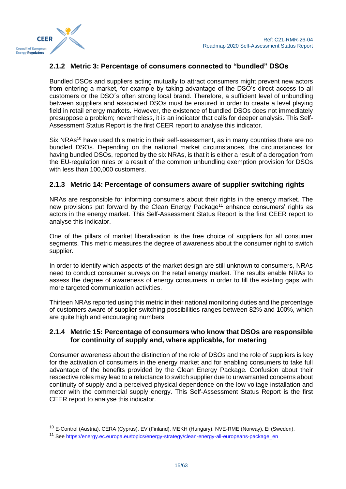

# <span id="page-14-0"></span>**2.1.2 Metric 3: Percentage of consumers connected to "bundled" DSOs**

Bundled DSOs and suppliers acting mutually to attract consumers might prevent new actors from entering a market, for example by taking advantage of the DSO's direct access to all customers or the DSO´s often strong local brand. Therefore, a sufficient level of unbundling between suppliers and associated DSOs must be ensured in order to create a level playing field in retail energy markets. However, the existence of bundled DSOs does not immediately presuppose a problem; nevertheless, it is an indicator that calls for deeper analysis. This Self-Assessment Status Report is the first CEER report to analyse this indicator.

Six NRAs<sup>10</sup> have used this metric in their self-assessment, as in many countries there are no bundled DSOs. Depending on the national market circumstances, the circumstances for having bundled DSOs, reported by the six NRAs, is that it is either a result of a derogation from the EU-regulation rules or a result of the common unbundling exemption provision for DSOs with less than 100,000 customers.

#### <span id="page-14-1"></span>**2.1.3 Metric 14: Percentage of consumers aware of supplier switching rights**

NRAs are responsible for informing consumers about their rights in the energy market. The new provisions put forward by the Clean Energy Package<sup>11</sup> enhance consumers' rights as actors in the energy market. This Self-Assessment Status Report is the first CEER report to analyse this indicator.

One of the pillars of market liberalisation is the free choice of suppliers for all consumer segments. This metric measures the degree of awareness about the consumer right to switch supplier.

In order to identify which aspects of the market design are still unknown to consumers, NRAs need to conduct consumer surveys on the retail energy market. The results enable NRAs to assess the degree of awareness of energy consumers in order to fill the existing gaps with more targeted communication activities.

Thirteen NRAs reported using this metric in their national monitoring duties and the percentage of customers aware of supplier switching possibilities ranges between 82% and 100%, which are quite high and encouraging numbers.

# <span id="page-14-2"></span>**2.1.4 Metric 15: Percentage of consumers who know that DSOs are responsible for continuity of supply and, where applicable, for metering**

Consumer awareness about the distinction of the role of DSOs and the role of suppliers is key for the activation of consumers in the energy market and for enabling consumers to take full advantage of the benefits provided by the Clean Energy Package. Confusion about their respective roles may lead to a reluctance to switch supplier due to unwarranted concerns about continuity of supply and a perceived physical dependence on the low voltage installation and meter with the commercial supply energy. This Self-Assessment Status Report is the first CEER report to analyse this indicator.

<sup>&</sup>lt;sup>10</sup> E-Control (Austria), CERA (Cyprus), EV (Finland), MEKH (Hungary), NVE-RME (Norway), Ei (Sweden).

<sup>11</sup> See [https://energy.ec.europa.eu/topics/energy-strategy/clean-energy-all-europeans-package\\_en](https://energy.ec.europa.eu/topics/energy-strategy/clean-energy-all-europeans-package_en)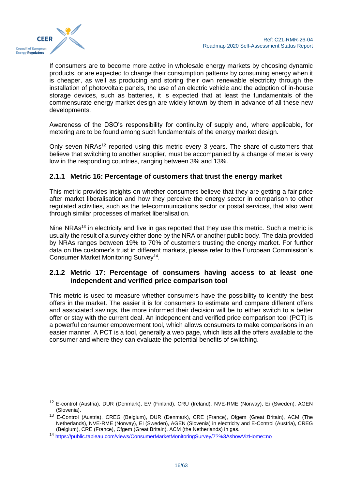

If consumers are to become more active in wholesale energy markets by choosing dynamic products, or are expected to change their consumption patterns by consuming energy when it is cheaper, as well as producing and storing their own renewable electricity through the installation of photovoltaic panels, the use of an electric vehicle and the adoption of in-house storage devices, such as batteries, it is expected that at least the fundamentals of the commensurate energy market design are widely known by them in advance of all these new developments.

Awareness of the DSO's responsibility for continuity of supply and, where applicable, for metering are to be found among such fundamentals of the energy market design.

Only seven NRAs<sup>12</sup> reported using this metric every 3 years. The share of customers that believe that switching to another supplier, must be accompanied by a change of meter is very low in the responding countries, ranging between 3% and 13%.

# <span id="page-15-0"></span>**2.1.1 Metric 16: Percentage of customers that trust the energy market**

This metric provides insights on whether consumers believe that they are getting a fair price after market liberalisation and how they perceive the energy sector in comparison to other regulated activities, such as the telecommunications sector or postal services, that also went through similar processes of market liberalisation.

Nine NRAs<sup>13</sup> in electricity and five in gas reported that they use this metric. Such a metric is usually the result of a survey either done by the NRA or another public body. The data provided by NRAs ranges between 19% to 70% of customers trusting the energy market. For further data on the customer's trust in different markets, please refer to the European Commission´s Consumer Market Monitoring Survey<sup>14</sup>.

#### <span id="page-15-1"></span>**2.1.2 Metric 17: Percentage of consumers having access to at least one independent and verified price comparison tool**

This metric is used to measure whether consumers have the possibility to identify the best offers in the market. The easier it is for consumers to estimate and compare different offers and associated savings, the more informed their decision will be to either switch to a better offer or stay with the current deal. An independent and verified price comparison tool (PCT) is a powerful consumer empowerment tool, which allows consumers to make comparisons in an easier manner. A PCT is a tool, generally a web page, which lists all the offers available to the consumer and where they can evaluate the potential benefits of switching.

<sup>12</sup> E-control (Austria), DUR (Denmark), EV (Finland), CRU (Ireland), NVE-RME (Norway), Ei (Sweden), AGEN (Slovenia).

<sup>&</sup>lt;sup>13</sup> E-Control (Austria), CREG (Belgium), DUR (Denmark), CRE (France), Ofgem (Great Britain), ACM (The Netherlands), NVE-RME (Norway), EI (Sweden), AGEN (Slovenia) in electricity and E-Control (Austria), CREG (Belgium), CRE (France), Ofgem (Great Britain), ACM (the Netherlands) in gas.

<sup>14</sup> <https://public.tableau.com/views/ConsumerMarketMonitoringSurvey/7?%3AshowVizHome=no>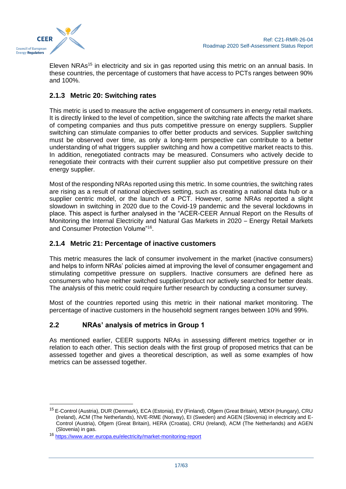



Eleven NRAs<sup>15</sup> in electricity and six in gas reported using this metric on an annual basis. In these countries, the percentage of customers that have access to PCTs ranges between 90% and 100%.

# <span id="page-16-0"></span>**2.1.3 Metric 20: Switching rates**

This metric is used to measure the active engagement of consumers in energy retail markets. It is directly linked to the level of competition, since the switching rate affects the market share of competing companies and thus puts competitive pressure on energy suppliers. Supplier switching can stimulate companies to offer better products and services. Supplier switching must be observed over time, as only a long-term perspective can contribute to a better understanding of what triggers supplier switching and how a competitive market reacts to this. In addition, renegotiated contracts may be measured. Consumers who actively decide to renegotiate their contracts with their current supplier also put competitive pressure on their energy supplier.

Most of the responding NRAs reported using this metric. In some countries, the switching rates are rising as a result of national objectives setting, such as creating a national data hub or a supplier centric model, or the launch of a PCT. However, some NRAs reported a slight slowdown in switching in 2020 due to the Covid-19 pandemic and the several lockdowns in place. This aspect is further analysed in the "ACER-CEER Annual Report on the Results of Monitoring the Internal Electricity and Natural Gas Markets in 2020 – Energy Retail Markets and Consumer Protection Volume"<sup>16</sup> .

### <span id="page-16-1"></span>**2.1.4 Metric 21: Percentage of inactive customers**

This metric measures the lack of consumer involvement in the market (inactive consumers) and helps to inform NRAs' policies aimed at improving the level of consumer engagement and stimulating competitive pressure on suppliers. Inactive consumers are defined here as consumers who have neither switched supplier/product nor actively searched for better deals. The analysis of this metric could require further research by conducting a consumer survey.

Most of the countries reported using this metric in their national market monitoring. The percentage of inactive customers in the household segment ranges between 10% and 99%.

# <span id="page-16-2"></span>**2.2 NRAs' analysis of metrics in Group 1**

As mentioned earlier, CEER supports NRAs in assessing different metrics together or in relation to each other. This section deals with the first group of proposed metrics that can be assessed together and gives a theoretical description, as well as some examples of how metrics can be assessed together.

<sup>15</sup> E-Control (Austria), DUR (Denmark), ECA (Estonia), EV (Finland), Ofgem (Great Britain), MEKH (Hungary), CRU (Ireland), ACM (The Netherlands), NVE-RME (Norway), EI (Sweden) and AGEN (Slovenia) in electricity and E-Control (Austria), Ofgem (Great Britain), HERA (Croatia), CRU (Ireland), ACM (The Netherlands) and AGEN (Slovenia) in gas.

<sup>16</sup> <https://www.acer.europa.eu/electricity/market-monitoring-report>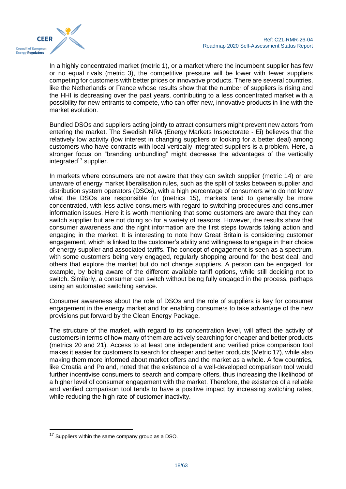

In a highly concentrated market (metric 1), or a market where the incumbent supplier has few or no equal rivals (metric 3), the competitive pressure will be lower with fewer suppliers competing for customers with better prices or innovative products. There are several countries, like the Netherlands or France whose results show that the number of suppliers is rising and the HHI is decreasing over the past years, contributing to a less concentrated market with a possibility for new entrants to compete, who can offer new, innovative products in line with the market evolution.

Bundled DSOs and suppliers acting jointly to attract consumers might prevent new actors from entering the market. The Swedish NRA (Energy Markets Inspectorate - Ei) believes that the relatively low activity (low interest in changing suppliers or looking for a better deal) among customers who have contracts with local vertically-integrated suppliers is a problem. Here, a stronger focus on "branding unbundling" might decrease the advantages of the vertically  $integral<sup>17</sup>$  supplier.

In markets where consumers are not aware that they can switch supplier (metric 14) or are unaware of energy market liberalisation rules, such as the split of tasks between supplier and distribution system operators (DSOs), with a high percentage of consumers who do not know what the DSOs are responsible for (metrics 15), markets tend to generally be more concentrated, with less active consumers with regard to switching procedures and consumer information issues. Here it is worth mentioning that some customers are aware that they can switch supplier but are not doing so for a variety of reasons. However, the results show that consumer awareness and the right information are the first steps towards taking action and engaging in the market. It is interesting to note how Great Britain is considering customer engagement, which is linked to the customer's ability and willingness to engage in their choice of energy supplier and associated tariffs. The concept of engagement is seen as a spectrum, with some customers being very engaged, regularly shopping around for the best deal, and others that explore the market but do not change suppliers. A person can be engaged, for example, by being aware of the different available tariff options, while still deciding not to switch. Similarly, a consumer can switch without being fully engaged in the process, perhaps using an automated switching service.

Consumer awareness about the role of DSOs and the role of suppliers is key for consumer engagement in the energy market and for enabling consumers to take advantage of the new provisions put forward by the Clean Energy Package.

The structure of the market, with regard to its concentration level, will affect the activity of customers in terms of how many of them are actively searching for cheaper and better products (metrics 20 and 21). Access to at least one independent and verified price comparison tool makes it easier for customers to search for cheaper and better products (Metric 17), while also making them more informed about market offers and the market as a whole. A few countries, like Croatia and Poland, noted that the existence of a well-developed comparison tool would further incentivise consumers to search and compare offers, thus increasing the likelihood of a higher level of consumer engagement with the market. Therefore, the existence of a reliable and verified comparison tool tends to have a positive impact by increasing switching rates, while reducing the high rate of customer inactivity.

<sup>&</sup>lt;sup>17</sup> Suppliers within the same company group as a DSO.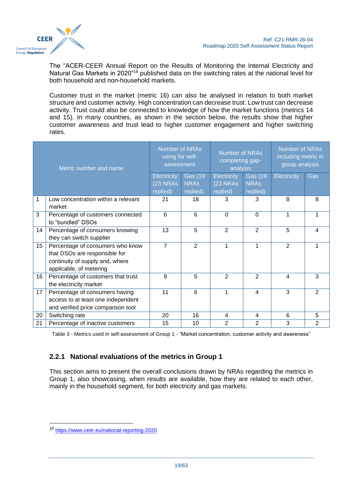

The "ACER-CEER Annual Report on the Results of Monitoring the Internal Electricity and Natural Gas Markets in 2020<sup>"18</sup> published data on the switching rates at the national level for both household and non-household markets.

Customer trust in the market (metric 16) can also be analysed in relation to both market structure and customer activity. High concentration can decrease trust. Low trust can decrease activity. Trust could also be connected to knowledge of how the market functions (metrics 14 and 15). In many countries, as shown in the section below, the results show that higher customer awareness and trust lead to higher customer engagement and higher switching rates.

|    | Metric number and name                                                                                                          | <b>Number of NRAs</b><br>using for self-<br>assessment |                                            | <b>Number of NRAs</b><br>completing gap-<br>analysis |                                           | <b>Number of NRAs</b><br>including metric in<br>group analysis |                |
|----|---------------------------------------------------------------------------------------------------------------------------------|--------------------------------------------------------|--------------------------------------------|------------------------------------------------------|-------------------------------------------|----------------------------------------------------------------|----------------|
|    |                                                                                                                                 | <b>Electricity</b><br>(23 NRAs<br>replied)             | <b>Gas (19)</b><br><b>NRAs</b><br>replied) | Electricity<br>(23 NRAs<br>replied)                  | <b>Gas</b> (19<br><b>NRAS</b><br>replied) | Electricity                                                    | Gas            |
| 1  | Low concentration within a relevant<br>market                                                                                   | 21                                                     | 18                                         | 3                                                    | 3                                         | 8                                                              | 8              |
| 3  | Percentage of customers connected<br>to "bundled" DSOs                                                                          | 6                                                      | 6                                          | $\Omega$                                             | $\mathbf 0$                               | 1                                                              | 1              |
| 14 | Percentage of consumers knowing<br>they can switch supplier                                                                     | 13                                                     | 5                                          | 2                                                    | $\overline{2}$                            | 5                                                              | $\overline{4}$ |
| 15 | Percentage of consumers who know<br>that DSOs are responsible for<br>continuity of supply and, where<br>applicable, of metering | $\overline{7}$                                         | $\overline{2}$                             | $\mathbf 1$                                          | 1                                         | $\overline{2}$                                                 | 1              |
| 16 | Percentage of customers that trust<br>the electricity market                                                                    | 9                                                      | 5                                          | $\overline{2}$                                       | $\overline{2}$                            | 4                                                              | 3              |
| 17 | Percentage of consumers having<br>access to at least one independent<br>and verified price comparison tool                      | 11                                                     | 6                                          | 1                                                    | 4                                         | 3                                                              | $\overline{2}$ |
| 20 | Switching rate                                                                                                                  | 20                                                     | 16                                         | 4                                                    | 4                                         | 6                                                              | 5              |
| 21 | Percentage of inactive customers                                                                                                | 15                                                     | 10                                         | 2                                                    | 2                                         | 3                                                              | $\overline{2}$ |

<span id="page-18-1"></span>Table 3 - Metrics used in self-assessment of Group 1 - "Market concentration, customer activity and awareness"

# <span id="page-18-0"></span>**2.2.1 National evaluations of the metrics in Group 1**

This section aims to present the overall conclusions drawn by NRAs regarding the metrics in Group 1, also showcasing, when results are available, how they are related to each other, mainly in the household segment, for both electricity and gas markets.

<sup>18</sup> <https://www.ceer.eu/national-reporting-2020>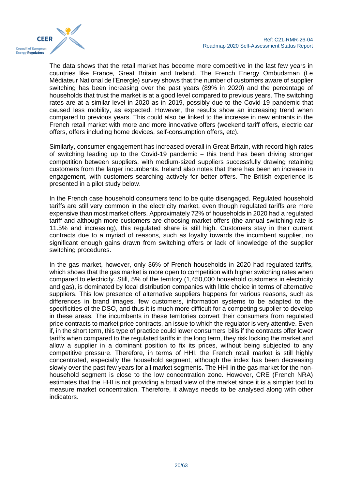

The data shows that the retail market has become more competitive in the last few years in countries like France, Great Britain and Ireland. The French Energy Ombudsman (Le Médiateur National de l'Energie) survey shows that the number of customers aware of supplier switching has been increasing over the past years (89% in 2020) and the percentage of households that trust the market is at a good level compared to previous years. The switching rates are at a similar level in 2020 as in 2019, possibly due to the Covid-19 pandemic that caused less mobility, as expected. However, the results show an increasing trend when compared to previous years. This could also be linked to the increase in new entrants in the French retail market with more and more innovative offers (weekend tariff offers, electric car offers, offers including home devices, self-consumption offers, etc).

Similarly, consumer engagement has increased overall in Great Britain, with record high rates of switching leading up to the Covid-19 pandemic – this trend has been driving stronger competition between suppliers, with medium-sized suppliers successfully drawing retaining customers from the larger incumbents. Ireland also notes that there has been an increase in engagement, with customers searching actively for better offers. The British experience is presented in a pilot study below.

In the French case household consumers tend to be quite disengaged. Regulated household tariffs are still very common in the electricity market, even though regulated tariffs are more expensive than most market offers. Approximately 72% of households in 2020 had a regulated tariff and although more customers are choosing market offers (the annual switching rate is 11.5% and increasing), this regulated share is still high. Customers stay in their current contracts due to a myriad of reasons, such as loyalty towards the incumbent supplier, no significant enough gains drawn from switching offers or lack of knowledge of the supplier switching procedures.

In the gas market, however, only 36% of French households in 2020 had regulated tariffs, which shows that the gas market is more open to competition with higher switching rates when compared to electricity. Still, 5% of the territory (1,450,000 household customers in electricity and gas), is dominated by local distribution companies with little choice in terms of alternative suppliers. This low presence of alternative suppliers happens for various reasons, such as differences in brand images, few customers, information systems to be adapted to the specificities of the DSO, and thus it is much more difficult for a competing supplier to develop in these areas. The incumbents in these territories convert their consumers from regulated price contracts to market price contracts, an issue to which the regulator is very attentive. Even if, in the short term, this type of practice could lower consumers' bills if the contracts offer lower tariffs when compared to the regulated tariffs in the long term, they risk locking the market and allow a supplier in a dominant position to fix its prices, without being subjected to any competitive pressure. Therefore, in terms of HHI, the French retail market is still highly concentrated, especially the household segment, although the index has been decreasing slowly over the past few years for all market segments. The HHI in the gas market for the nonhousehold segment is close to the low concentration zone. However, CRE (French NRA) estimates that the HHI is not providing a broad view of the market since it is a simpler tool to measure market concentration. Therefore, it always needs to be analysed along with other indicators.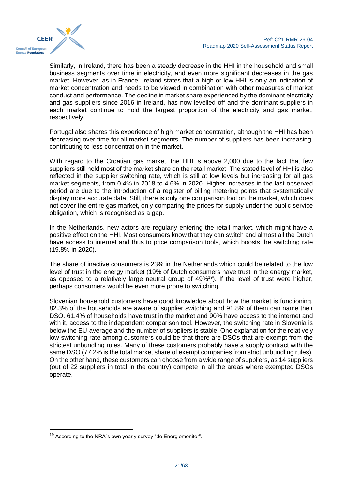

Similarly, in Ireland, there has been a steady decrease in the HHI in the household and small business segments over time in electricity, and even more significant decreases in the gas market. However, as in France, Ireland states that a high or low HHI is only an indication of market concentration and needs to be viewed in combination with other measures of market conduct and performance. The decline in market share experienced by the dominant electricity and gas suppliers since 2016 in Ireland, has now levelled off and the dominant suppliers in each market continue to hold the largest proportion of the electricity and gas market, respectively.

Portugal also shares this experience of high market concentration, although the HHI has been decreasing over time for all market segments. The number of suppliers has been increasing, contributing to less concentration in the market.

With regard to the Croatian gas market, the HHI is above 2,000 due to the fact that few suppliers still hold most of the market share on the retail market. The stated level of HHI is also reflected in the supplier switching rate, which is still at low levels but increasing for all gas market segments, from 0.4% in 2018 to 4.6% in 2020. Higher increases in the last observed period are due to the introduction of a register of billing metering points that systematically display more accurate data. Still, there is only one comparison tool on the market, which does not cover the entire gas market, only comparing the prices for supply under the public service obligation, which is recognised as a gap.

In the Netherlands, new actors are regularly entering the retail market, which might have a positive effect on the HHI. Most consumers know that they can switch and almost all the Dutch have access to internet and thus to price comparison tools, which boosts the switching rate (19.8% in 2020).

The share of inactive consumers is 23% in the Netherlands which could be related to the low level of trust in the energy market (19% of Dutch consumers have trust in the energy market, as opposed to a relatively large neutral group of 49%<sup>19</sup>). If the level of trust were higher, perhaps consumers would be even more prone to switching.

Slovenian household customers have good knowledge about how the market is functioning. 82.3% of the households are aware of supplier switching and 91.8% of them can name their DSO. 61.4% of households have trust in the market and 90% have access to the internet and with it, access to the independent comparison tool. However, the switching rate in Slovenia is below the EU-average and the number of suppliers is stable. One explanation for the relatively low switching rate among customers could be that there are DSOs that are exempt from the strictest unbundling rules. Many of these customers probably have a supply contract with the same DSO (77.2% is the total market share of exempt companies from strict unbundling rules). On the other hand, these customers can choose from a wide range of suppliers, as 14 suppliers (out of 22 suppliers in total in the country) compete in all the areas where exempted DSOs operate.

 $19$  According to the NRA's own yearly survey "de Energiemonitor".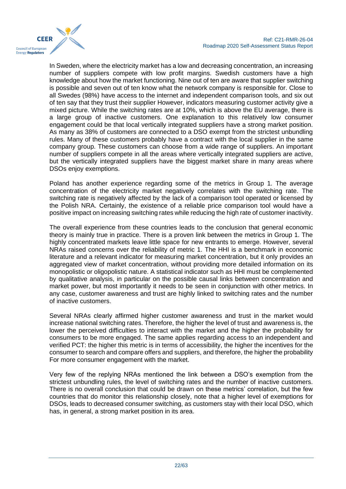

In Sweden, where the electricity market has a low and decreasing concentration, an increasing number of suppliers compete with low profit margins. Swedish customers have a high knowledge about how the market functioning. Nine out of ten are aware that supplier switching is possible and seven out of ten know what the network company is responsible for. Close to all Swedes (98%) have access to the internet and independent comparison tools, and six out of ten say that they trust their supplier However, indicators measuring customer activity give a mixed picture. While the switching rates are at 10%, which is above the EU average, there is a large group of inactive customers. One explanation to this relatively low consumer engagement could be that local vertically integrated suppliers have a strong market position. As many as 38% of customers are connected to a DSO exempt from the strictest unbundling rules. Many of these customers probably have a contract with the local supplier in the same company group. These customers can choose from a wide range of suppliers. An important number of suppliers compete in all the areas where vertically integrated suppliers are active, but the vertically integrated suppliers have the biggest market share in many areas where DSOs enjoy exemptions.

Poland has another experience regarding some of the metrics in Group 1. The average concentration of the electricity market negatively correlates with the switching rate. The switching rate is negatively affected by the lack of a comparison tool operated or licensed by the Polish NRA. Certainly, the existence of a reliable price comparison tool would have a positive impact on increasing switching rates while reducing the high rate of customer inactivity.

The overall experience from these countries leads to the conclusion that general economic theory is mainly true in practice. There is a proven link between the metrics in Group 1. The highly concentrated markets leave little space for new entrants to emerge. However, several NRAs raised concerns over the reliability of metric 1. The HHI is a benchmark in economic literature and a relevant indicator for measuring market concentration, but it only provides an aggregated view of market concentration, without providing more detailed information on its monopolistic or oligopolistic nature. A statistical indicator such as HHI must be complemented by qualitative analysis, in particular on the possible causal links between concentration and market power, but most importantly it needs to be seen in conjunction with other metrics. In any case, customer awareness and trust are highly linked to switching rates and the number of inactive customers.

Several NRAs clearly affirmed higher customer awareness and trust in the market would increase national switching rates. Therefore, the higher the level of trust and awareness is, the lower the perceived difficulties to interact with the market and the higher the probability for consumers to be more engaged. The same applies regarding access to an independent and verified PCT: the higher this metric is in terms of accessibility, the higher the incentives for the consumer to search and compare offers and suppliers, and therefore, the higher the probability For more consumer engagement with the market.

Very few of the replying NRAs mentioned the link between a DSO's exemption from the strictest unbundling rules, the level of switching rates and the number of inactive customers. There is no overall conclusion that could be drawn on these metrics' correlation, but the few countries that do monitor this relationship closely, note that a higher level of exemptions for DSOs, leads to decreased consumer switching, as customers stay with their local DSO, which has, in general, a strong market position in its area.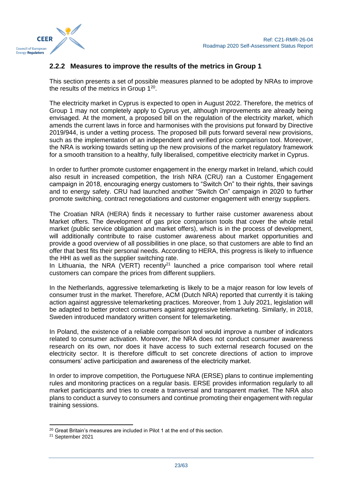

# <span id="page-22-0"></span>**2.2.2 Measures to improve the results of the metrics in Group 1**

This section presents a set of possible measures planned to be adopted by NRAs to improve the results of the metrics in Group  $1^{20}$ .

The electricity market in Cyprus is expected to open in August 2022. Therefore, the metrics of Group 1 may not completely apply to Cyprus yet, although improvements are already being envisaged. At the moment, a proposed bill on the regulation of the electricity market, which amends the current laws in force and harmonises with the provisions put forward by Directive 2019/944, is under a vetting process. The proposed bill puts forward several new provisions, such as the implementation of an independent and verified price comparison tool. Moreover, the NRA is working towards setting up the new provisions of the market regulatory framework for a smooth transition to a healthy, fully liberalised, competitive electricity market in Cyprus.

In order to further promote customer engagement in the energy market in Ireland, which could also result in increased competition, the Irish NRA (CRU) ran a Customer Engagement campaign in 2018, encouraging energy customers to "Switch On" to their rights, their savings and to energy safety. CRU had launched another "Switch On" campaign in 2020 to further promote switching, contract renegotiations and customer engagement with energy suppliers.

The Croatian NRA (HERA) finds it necessary to further raise customer awareness about Market offers. The development of gas price comparison tools that cover the whole retail market (public service obligation and market offers), which is in the process of development, will additionally contribute to raise customer awareness about market opportunities and provide a good overview of all possibilities in one place, so that customers are able to find an offer that best fits their personal needs. According to HERA, this progress is likely to influence the HHI as well as the supplier switching rate.

In Lithuania, the NRA (VERT) recently<sup>21</sup> launched a price comparison tool where retail customers can compare the prices from different suppliers.

In the Netherlands, aggressive telemarketing is likely to be a major reason for low levels of consumer trust in the market. Therefore, ACM (Dutch NRA) reported that currently it is taking action against aggressive telemarketing practices. Moreover, from 1 July 2021, legislation will be adapted to better protect consumers against aggressive telemarketing. Similarly, in 2018, Sweden introduced mandatory written consent for telemarketing.

In Poland, the existence of a reliable comparison tool would improve a number of indicators related to consumer activation. Moreover, the NRA does not conduct consumer awareness research on its own, nor does it have access to such external research focused on the electricity sector. It is therefore difficult to set concrete directions of action to improve consumers' active participation and awareness of the electricity market.

In order to improve competition, the Portuguese NRA (ERSE) plans to continue implementing rules and monitoring practices on a regular basis. ERSE provides information regularly to all market participants and tries to create a transversal and transparent market. The NRA also plans to conduct a survey to consumers and continue promoting their engagement with regular training sessions.

 $20$  Great Britain's measures are included in Pilot 1 at the end of this section.

<sup>21</sup> September 2021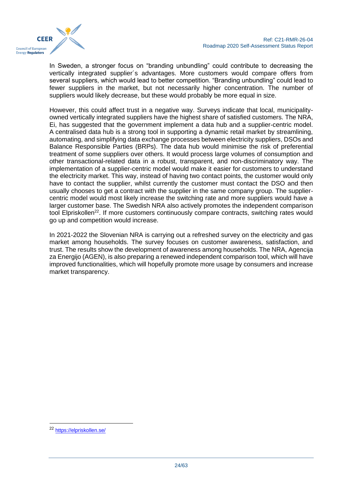

In Sweden, a stronger focus on "branding unbundling" could contribute to decreasing the vertically integrated supplier´s advantages. More customers would compare offers from several suppliers, which would lead to better competition. "Branding unbundling" could lead to fewer suppliers in the market, but not necessarily higher concentration. The number of suppliers would likely decrease, but these would probably be more equal in size.

However, this could affect trust in a negative way. Surveys indicate that local, municipalityowned vertically integrated suppliers have the highest share of satisfied customers. The NRA, Ei, has suggested that the government implement a data hub and a supplier-centric model. A centralised data hub is a strong tool in supporting a dynamic retail market by streamlining, automating, and simplifying data exchange processes between electricity suppliers, DSOs and Balance Responsible Parties (BRPs). The data hub would minimise the risk of preferential treatment of some suppliers over others. It would process large volumes of consumption and other transactional-related data in a robust, transparent, and non-discriminatory way. The implementation of a supplier-centric model would make it easier for customers to understand the electricity market. This way, instead of having two contact points, the customer would only have to contact the supplier, whilst currently the customer must contact the DSO and then usually chooses to get a contract with the supplier in the same company group. The suppliercentric model would most likely increase the switching rate and more suppliers would have a larger customer base. The Swedish NRA also actively promotes the independent comparison tool Elpriskollen<sup>22</sup>. If more customers continuously compare contracts, switching rates would go up and competition would increase.

In 2021-2022 the Slovenian NRA is carrying out a refreshed survey on the electricity and gas market among households. The survey focuses on customer awareness, satisfaction, and trust. The results show the development of awareness among households. The NRA, Agencija za Energijo (AGEN), is also preparing a renewed independent comparison tool, which will have improved functionalities, which will hopefully promote more usage by consumers and increase market transparency.

<sup>22</sup> <https://elpriskollen.se/>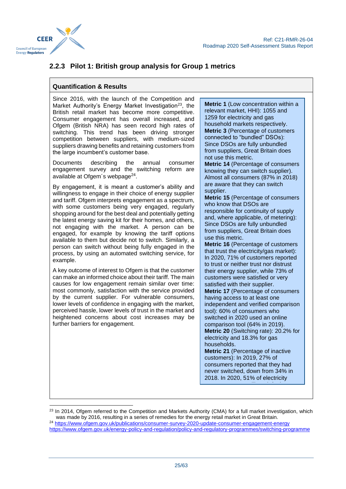

# <span id="page-24-0"></span>**2.2.3 Pilot 1: British group analysis for Group 1 metrics**

#### **Quantification & Results**

Since 2016, with the launch of the Competition and Market Authority's Energy Market Investigation<sup>23</sup>, the British retail market has become more competitive. Consumer engagement has overall increased, and Ofgem (British NRA) has seen record high rates of switching. This trend has been driving stronger competition between suppliers, with medium-sized suppliers drawing benefits and retaining customers from the large incumbent's customer base.

Documents describing the annual consumer engagement survey and the switching reform are available at Ofgem's webpage<sup>24</sup>.

By engagement, it is meant a customer's ability and willingness to engage in their choice of energy supplier and tariff. Ofgem interprets engagement as a spectrum, with some customers being very engaged, regularly shopping around for the best deal and potentially getting the latest energy saving kit for their homes, and others, not engaging with the market. A person can be engaged, for example by knowing the tariff options available to them but decide not to switch. Similarly, a person can switch without being fully engaged in the process, by using an automated switching service, for example.

A key outcome of interest to Ofgem is that the customer can make an informed choice about their tariff. The main causes for low engagement remain similar over time: most commonly, satisfaction with the service provided by the current supplier. For vulnerable consumers, lower levels of confidence in engaging with the market, perceived hassle, lower levels of trust in the market and heightened concerns about cost increases may be further barriers for engagement.

**Metric 1** (Low concentration within a relevant market, HHI): 1055 and 1259 for electricity and gas household markets respectively. **Metric 3** (Percentage of customers connected to "bundled" DSOs): Since DSOs are fully unbundled from suppliers, Great Britain does not use this metric. **Metric 14** (Percentage of consumers knowing they can switch supplier). Almost all consumers (87% in 2018) are aware that they can switch supplier. **Metric 15** (Percentage of consumers who know that DSOs are responsible for continuity of supply and, where applicable, of metering): Since DSOs are fully unbundled from suppliers, Great Britain does use this metric. **Metric 16** (Percentage of customers that trust the electricity/gas market): In 2020, 71% of customers reported to trust or neither trust nor distrust their energy supplier, while 73% of customers were satisfied or very satisfied with their supplier. **Metric 17** (Percentage of consumers having access to at least one independent and verified comparison tool): 60% of consumers who switched in 2020 used an online comparison tool (64% in 2019). **Metric 20** (Switching rate): 20.2% for electricity and 18.3% for gas households. **Metric 21** (Percentage of inactive customers): In 2019, 27% of consumers reported that they had never switched, down from 34% in 2018. In 2020, 51% of electricity

customers were still on default

<sup>&</sup>lt;sup>23</sup> In 2014, Ofgem referred to the Competition and Markets Authority (CMA) for a full market investigation, which was made by 2016, resulting in a series of remedies for the energy retail market in Great Britain. <sup>24</sup> <https://www.ofgem.gov.uk/publications/consumer-survey-2020-update-consumer-engagement-energy>

<https://www.ofgem.gov.uk/energy-policy-and-regulation/policy-and-regulatory-programmes/switching-programme>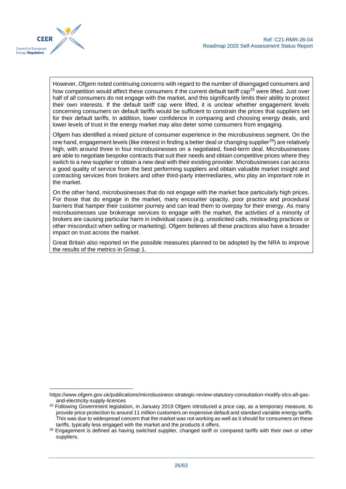

However, Ofgem noted continuing concerns with regard to the number of disengaged consumers and how competition would affect these consumers if the current default tariff cap<sup>25</sup> were lifted. Just over half of all consumers do not engage with the market, and this significantly limits their ability to protect their own interests. If the default tariff cap were lifted, it is unclear whether engagement levels concerning consumers on default tariffs would be sufficient to constrain the prices that suppliers set for their default tariffs. In addition, lower confidence in comparing and choosing energy deals, and lower levels of trust in the energy market may also deter some consumers from engaging.

Ofgem has identified a mixed picture of consumer experience in the microbusiness segment. On the one hand, engagement levels (like interest in finding a better deal or changing supplier<sup>26</sup>) are relatively high, with around three in four microbusinesses on a negotiated, fixed-term deal. Microbusinesses are able to negotiate bespoke contracts that suit their needs and obtain competitive prices where they switch to a new supplier or obtain a new deal with their existing provider. Microbusinesses can access a good quality of service from the best performing suppliers and obtain valuable market insight and contracting services from brokers and other third-party intermediaries, who play an important role in the market.

On the other hand, microbusinesses that do not engage with the market face particularly high prices. For those that do engage in the market, many encounter opacity, poor practice and procedural barriers that hamper their customer journey and can lead them to overpay for their energy. As many microbusinesses use brokerage services to engage with the market, the activities of a minority of brokers are causing particular harm in individual cases (e.g. unsolicited calls, misleading practices or other misconduct when selling or marketing). Ofgem believes all these practices also have a broader impact on trust across the market.

Great Britain also reported on the possible measures planned to be adopted by the NRA to improve the results of the metrics in Group 1.

https://www.ofgem.gov.uk/publications/microbusiness-strategic-review-statutory-consultation-modify-slcs-all-gasand-electricity-supply-licences

<sup>&</sup>lt;sup>25</sup> Following Government legislation, in January 2019 Ofgem introduced a price cap, as a temporary measure, to provide price protection to around 11 million customers on expensive default and standard variable energy tariffs. This was due to widespread concern that the market was not working as well as it should for consumers on these tariffs, typically less engaged with the market and the products it offers.

<sup>&</sup>lt;sup>26</sup> Engagement is defined as having switched supplier, changed tariff or compared tariffs with their own or other suppliers.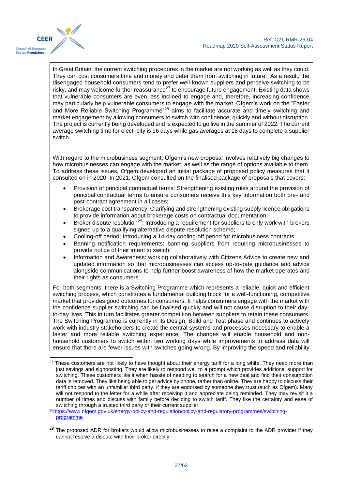

In Great Britain, the current switching procedures in the market are not working as well as they could. They can cost consumers time and money and deter them from switching in future. As a result, the disengaged household consumers tend to prefer well-known suppliers and perceive switching to be risky, and may welcome further reassurance<sup>27</sup> to encourage future engagement. Existing data shows that vulnerable consumers are even less inclined to engage and, therefore, increasing confidence may particularly help vulnerable consumers to engage with the market. Ofgem's work on the "Faster and More Reliable Switching Programme"<sup>28</sup> aims to facilitate accurate and timely switching and market engagement by allowing consumers to switch with confidence, quickly and without disruption. The project is currently being developed and is expected to go live in the summer of 2022. The current average switching time for electricity is 16 days while gas averages at 18 days to complete a supplier switch.

With regard to the microbusiness segment, Ofgem's new proposal involves relatively big changes to how microbusinesses can engage with the market, as well as the range of options available to them. To address these issues, Ofgem developed an initial package of proposed policy measures that it consulted on in 2020. In 2021, Ofgem consulted on the finalised package of proposals that covers:

- Provision of principal contractual terms: Strengthening existing rules around the provision of principal contractual terms to ensure consumers receive this key information both pre- and post-contract agreement in all cases;
- Brokerage cost transparency: Clarifying and strengthening existing supply licence obligations to provide information about brokerage costs on contractual documentation;
- Broker dispute resolution<sup>29</sup>: Introducing a requirement for suppliers to only work with brokers signed up to a qualifying alternative dispute resolution scheme;
- Cooling-off period: Introducing a 14-day cooling-off period for microbusiness contracts;
- Banning notification requirements: banning suppliers from requiring microbusinesses to provide notice of their intent to switch;
- Information and Awareness: working collaboratively with Citizens Advice to create new and updated information so that microbusinesses can access up-to-date guidance and advice alongside communications to help further boost awareness of how the market operates and their rights as consumers.

For both segments, there is a Switching Programme which represents a reliable, quick and efficient switching process, which constitutes a fundamental building block for a well-functioning, competitive market that provides good outcomes for consumers. It helps consumers engage with the market with the confidence supplier switching can be finalised quickly and will not cause disruption to their dayto-day lives. This in turn facilitates greater competition between suppliers to retain these consumers. The Switching Programme is currently in its Design, Build and Test phase and continues to actively work with industry stakeholders to create the central systems and processes necessary to enable a faster and more reliable switching experience. The changes will enable household and nonhousehold customers to switch within two working days while improvements to address data will ensure that there are fewer issues with switches going wrong. By improving the speed and reliability

<sup>&</sup>lt;sup>27</sup> These customers are not likely to have thought about their energy tariff for a long while. They need more than just savings and signposting. They are likely to respond well to a prompt which provides additional support for switching. These customers like it when hassle of needing to search for a new deal and find their consumption data is removed. They like being able to get advice by phone, rather than online. They are happy to discuss their tariff choices with an unfamiliar third party, if they are endorsed by someone they trust (such as Ofgem). Many will not respond to the letter for a while after receiving it and appreciate being reminded. They may revisit it a number of times and discuss with family before deciding to switch tariff. They like the certainty and ease of switching through a trusted third party or their current supplier.

<sup>&</sup>lt;sup>28</sup>[https://www.ofgem.gov.uk/energy-policy-and-regulation/policy-and-regulatory-programmes/switching](https://www.ofgem.gov.uk/energy-policy-and-regulation/policy-and-regulatory-programmes/switching-programme)[programme](https://www.ofgem.gov.uk/energy-policy-and-regulation/policy-and-regulatory-programmes/switching-programme)

<sup>&</sup>lt;sup>29</sup> The proposed ADR for brokers would allow microbusinesses to raise a complaint to the ADR provider if they cannot resolve a dispute with their broker directly.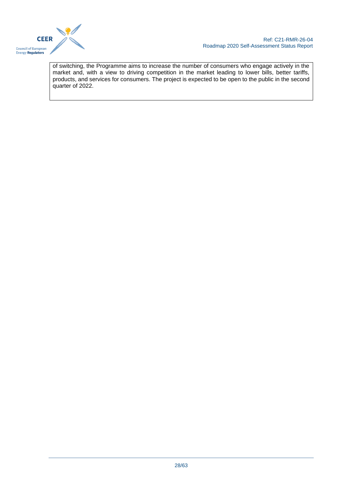

of switching, the Programme aims to increase the number of consumers who engage actively in the market and, with a view to driving competition in the market leading to lower bills, better tariffs, products, and services for consumers. The project is expected to be open to the public in the second quarter of 2022.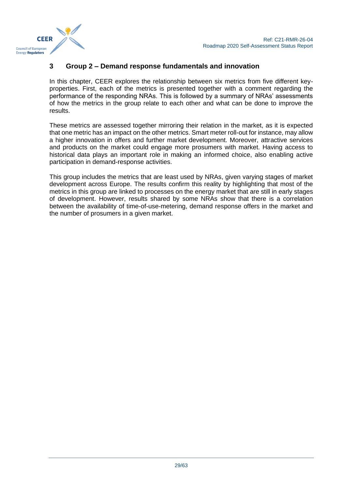

# <span id="page-28-0"></span>**3 Group 2 – Demand response fundamentals and innovation**

In this chapter, CEER explores the relationship between six metrics from five different keyproperties. First, each of the metrics is presented together with a comment regarding the performance of the responding NRAs. This is followed by a summary of NRAs' assessments of how the metrics in the group relate to each other and what can be done to improve the results.

These metrics are assessed together mirroring their relation in the market, as it is expected that one metric has an impact on the other metrics. Smart meter roll-out for instance, may allow a higher innovation in offers and further market development. Moreover, attractive services and products on the market could engage more prosumers with market. Having access to historical data plays an important role in making an informed choice, also enabling active participation in demand-response activities.

This group includes the metrics that are least used by NRAs, given varying stages of market development across Europe. The results confirm this reality by highlighting that most of the metrics in this group are linked to processes on the energy market that are still in early stages of development. However, results shared by some NRAs show that there is a correlation between the availability of time-of-use-metering, demand response offers in the market and the number of prosumers in a given market.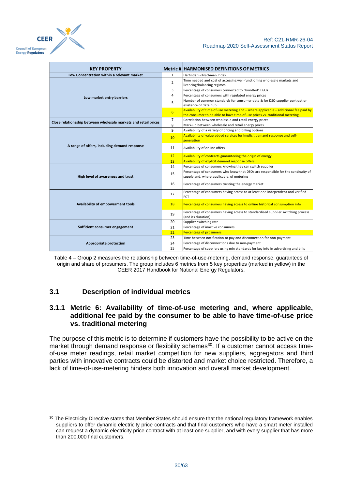

| <b>KEY PROPERTY</b>                                             |                     | <b>Metric # HARMONISED DEFINITIONS OF METRICS</b>                                                                                                                   |
|-----------------------------------------------------------------|---------------------|---------------------------------------------------------------------------------------------------------------------------------------------------------------------|
| Low Concentration within a relevant market                      | $\mathbf{1}$        | Herfindahl-Hirschman Index                                                                                                                                          |
|                                                                 | $\overline{2}$<br>3 | Time needed and cost of accessing well-functioning wholesale markets and<br>licencing/balancing regimes<br>Percentage of consumers connected to "bundled" DSOs      |
|                                                                 | 4                   | Percentage of consumers with regulated energy prices                                                                                                                |
| Low market entry barriers                                       | 5                   | Number of common standards for consumer data & for DSO-supplier contract or<br>existence of data hub                                                                |
|                                                                 | $6\overline{6}$     | Availability of time-of-use metering and - where applicable - additional fee paid by<br>the consumer to be able to have time-of-use prices vs. traditional metering |
| Close relationsship between wholesale markets and retail prices | $\overline{7}$      | Correlation between wholesale and retail energy prices                                                                                                              |
|                                                                 | 8                   | Mark-up between wholesale and retail energy prices                                                                                                                  |
|                                                                 | 9                   | Availability of a variety of pricing and billing options                                                                                                            |
|                                                                 | 10                  | Availability of value added services for implicit demand response and self-<br>generation                                                                           |
| A range of offers, including demand response                    | 11                  | Availability of online offers                                                                                                                                       |
|                                                                 | 12                  | Availability of contracts guaranteeing the origin of energy                                                                                                         |
|                                                                 | 13                  | Availability of explicit demand response offers                                                                                                                     |
|                                                                 | 14                  | Percentage of consumers knowing they can switch supplier                                                                                                            |
| High level of awareness and trust                               | 15                  | Percentage of consumers who know that DSOs are responsible for the continuity of<br>supply and, where applicable, of metering                                       |
|                                                                 | 16                  | Percentage of consumers trusting the energy market                                                                                                                  |
|                                                                 | 17                  | Percentage of consumers having access to at least one independent and verified<br>PCT                                                                               |
| Availability of empowerment tools                               | 18                  | Percentage of consumers having access to online historical consumption info                                                                                         |
|                                                                 | 19                  | Percentage of consumers having access to standardised supplier switching process<br>(and its duration)                                                              |
|                                                                 | 20                  | Supplier switching rate                                                                                                                                             |
| Sufficient consumer engagement                                  | 21                  | Percentage of inactive consumers                                                                                                                                    |
|                                                                 | 22                  | Percentage of prosumers                                                                                                                                             |
|                                                                 | 23                  | Time between notification to pay and disconnection for non-payment                                                                                                  |
| Appropriate protection                                          | 24                  | Percentage of disconnections due to non-payment                                                                                                                     |
|                                                                 | 25                  | Percentage of suppliers using min standards for key info in advertising and bills                                                                                   |

<span id="page-29-2"></span>Table 4 – Group 2 measures the relationship between time-of-use-metering, demand response, guarantees of origin and share of prosumers. The group includes 6 metrics from 5 key properties (marked in yellow) in the CEER 2017 Handbook for National Energy Regulators.

# <span id="page-29-0"></span>**3.1 Description of individual metrics**

# <span id="page-29-1"></span>**3.1.1 Metric 6: Availability of time-of-use metering and, where applicable, additional fee paid by the consumer to be able to have time-of-use price vs. traditional metering**

The purpose of this metric is to determine if customers have the possibility to be active on the market through demand response or flexibility schemes<sup>30</sup>. If a customer cannot access timeof-use meter readings, retail market competition for new suppliers, aggregators and third parties with innovative contracts could be distorted and market choice restricted. Therefore, a lack of time-of-use-metering hinders both innovation and overall market development.

<sup>30</sup> The Electricity Directive states that Member States should ensure that the national regulatory framework enables suppliers to offer dynamic electricity price contracts and that final customers who have a smart meter installed can request a dynamic electricity price contract with at least one supplier, and with every supplier that has more than 200,000 final customers.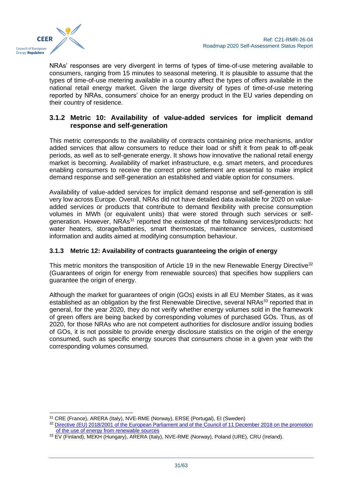



NRAs' responses are very divergent in terms of types of time-of-use metering available to consumers, ranging from 15 minutes to seasonal metering. It is plausible to assume that the types of time-of-use metering available in a country affect the types of offers available in the national retail energy market. Given the large diversity of types of time-of-use metering reported by NRAs, consumers' choice for an energy product in the EU varies depending on their country of residence.

### <span id="page-30-0"></span>**3.1.2 Metric 10: Availability of value-added services for implicit demand response and self-generation**

This metric corresponds to the availability of contracts containing price mechanisms, and/or added services that allow consumers to reduce their load or shift it from peak to off-peak periods, as well as to self-generate energy. It shows how innovative the national retail energy market is becoming. Availability of market infrastructure, e.g. smart meters, and procedures enabling consumers to receive the correct price settlement are essential to make implicit demand response and self-generation an established and viable option for consumers.

Availability of value-added services for implicit demand response and self-generation is still very low across Europe. Overall, NRAs did not have detailed data available for 2020 on valueadded services or products that contribute to demand flexibility with precise consumption volumes in MWh (or equivalent units) that were stored through such services or selfgeneration. However, NRAs<sup>31</sup> reported the existence of the following services/products: hot water heaters, storage/batteries, smart thermostats, maintenance services, customised information and audits aimed at modifying consumption behaviour.

# <span id="page-30-1"></span>**3.1.3 Metric 12: Availability of contracts guaranteeing the origin of energy**

This metric monitors the transposition of Article 19 in the new Renewable Energy Directive<sup>32</sup> (Guarantees of origin for energy from renewable sources) that specifies how suppliers can guarantee the origin of energy.

Although the market for guarantees of origin (GOs) exists in all EU Member States, as it was established as an obligation by the first Renewable Directive, several NRA $s<sup>33</sup>$  reported that in general, for the year 2020, they do not verify whether energy volumes sold in the framework of green offers are being backed by corresponding volumes of purchased GOs. Thus, as of 2020, for those NRAs who are not competent authorities for disclosure and/or issuing bodies of GOs, it is not possible to provide energy disclosure statistics on the origin of the energy consumed, such as specific energy sources that consumers chose in a given year with the corresponding volumes consumed.

<sup>31</sup> CRE (France), ARERA (Italy), NVE-RME (Norway), ERSE (Portugal), EI (Sweden)

<sup>&</sup>lt;sup>32</sup> Directive (EU) 2018/2001 of the European Parliament and of the Council of 11 December 2018 on the promotion [of the use of energy from renewable sources](https://eur-lex.europa.eu/legal-content/EN/TXT/?uri=uriserv:OJ.L_.2018.328.01.0082.01.ENG)

<sup>33</sup> EV (Finland), MEKH (Hungary), ARERA (Italy), NVE-RME (Norway), Poland (URE), CRU (Ireland).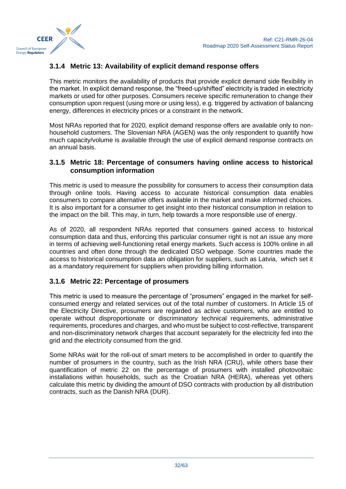

# <span id="page-31-0"></span>**3.1.4 Metric 13: Availability of explicit demand response offers**

This metric monitors the availability of products that provide explicit demand side flexibility in the market. In explicit demand response, the "freed-up/shifted" electricity is traded in electricity markets or used for other purposes. Consumers receive specific remuneration to change their consumption upon request (using more or using less), e.g. triggered by activation of balancing energy, differences in electricity prices or a constraint in the network.

Most NRAs reported that for 2020, explicit demand response offers are available only to nonhousehold customers. The Slovenian NRA (AGEN) was the only respondent to quantify how much capacity/volume is available through the use of explicit demand response contracts on an annual basis.

#### <span id="page-31-1"></span>**3.1.5 Metric 18: Percentage of consumers having online access to historical consumption information**

This metric is used to measure the possibility for consumers to access their consumption data through online tools. Having access to accurate historical consumption data enables consumers to compare alternative offers available in the market and make informed choices. It is also important for a consumer to get insight into their historical consumption in relation to the impact on the bill. This may, in turn, help towards a more responsible use of energy.

As of 2020, all respondent NRAs reported that consumers gained access to historical consumption data and thus, enforcing this particular consumer right is not an issue any more in terms of achieving well-functioning retail energy markets. Such access is 100% online in all countries and often done through the dedicated DSO webpage. Some countries made the access to historical consumption data an obligation for suppliers, such as Latvia, which set it as a mandatory requirement for suppliers when providing billing information.

# <span id="page-31-2"></span>**3.1.6 Metric 22: Percentage of prosumers**

This metric is used to measure the percentage of "prosumers" engaged in the market for selfconsumed energy and related services out of the total number of customers. In Article 15 of the Electricity Directive, prosumers are regarded as active customers, who are entitled to operate without disproportionate or discriminatory technical requirements, administrative requirements, procedures and charges, and who must be subject to cost-reflective, transparent and non-discriminatory network charges that account separately for the electricity fed into the grid and the electricity consumed from the grid.

Some NRAs wait for the roll-out of smart meters to be accomplished in order to quantify the number of prosumers in the country, such as the Irish NRA (CRU), while others base their quantification of metric 22 on the percentage of prosumers with installed photovoltaic installations within households, such as the Croatian NRA (HERA), whereas yet others calculate this metric by dividing the amount of DSO contracts with production by all distribution contracts, such as the Danish NRA (DUR).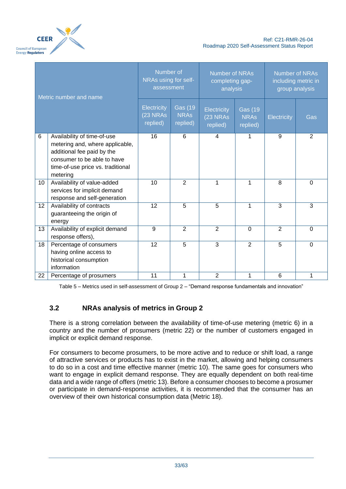

| Metric number and name                                                                            |                                                                                                                                                                              | Number of<br>NRAs using for self-<br>assessment |                                           | <b>Number of NRAs</b><br>completing gap-<br>analysis |                                           | <b>Number of NRAs</b><br>including metric in<br>group analysis |             |
|---------------------------------------------------------------------------------------------------|------------------------------------------------------------------------------------------------------------------------------------------------------------------------------|-------------------------------------------------|-------------------------------------------|------------------------------------------------------|-------------------------------------------|----------------------------------------------------------------|-------------|
|                                                                                                   |                                                                                                                                                                              | Electricity<br>(23 NRAs<br>replied)             | <b>Gas (19</b><br><b>NRAS</b><br>replied) | Electricity<br>(23 NRAs<br>replied)                  | <b>Gas (19</b><br><b>NRAs</b><br>replied) | Electricity                                                    | Gas         |
| 6                                                                                                 | Availability of time-of-use<br>metering and, where applicable,<br>additional fee paid by the<br>consumer to be able to have<br>time-of-use price vs. traditional<br>metering | 16                                              | 6                                         | $\overline{4}$                                       | 1                                         | 9                                                              | 2           |
| 10                                                                                                | Availability of value-added<br>services for implicit demand<br>response and self-generation                                                                                  | 10                                              | $\overline{2}$                            | 1                                                    | 1                                         | 8                                                              | $\mathbf 0$ |
| 12                                                                                                | Availability of contracts<br>guaranteeing the origin of<br>energy                                                                                                            | 12                                              | 5                                         | 5                                                    | 1                                         | 3                                                              | 3           |
| 13                                                                                                | Availability of explicit demand<br>response offers),                                                                                                                         | 9                                               | $\overline{2}$                            | $\overline{2}$                                       | $\overline{0}$                            | $\overline{2}$                                                 | $\Omega$    |
| Percentage of consumers<br>18<br>having online access to<br>historical consumption<br>information |                                                                                                                                                                              | 12                                              | 5                                         | 3                                                    | $\overline{2}$                            | 5                                                              | $\Omega$    |
| 22                                                                                                | Percentage of prosumers                                                                                                                                                      | 11                                              | 1                                         | 2                                                    | 1                                         | 6                                                              | 1           |

<span id="page-32-1"></span>Table 5 – Metrics used in self-assessment of Group 2 – "Demand response fundamentals and innovation"

# <span id="page-32-0"></span>**3.2 NRAs analysis of metrics in Group 2**

There is a strong correlation between the availability of time-of-use metering (metric 6) in a country and the number of prosumers (metric 22) or the number of customers engaged in implicit or explicit demand response.

For consumers to become prosumers, to be more active and to reduce or shift load, a range of attractive services or products has to exist in the market, allowing and helping consumers to do so in a cost and time effective manner (metric 10). The same goes for consumers who want to engage in explicit demand response. They are equally dependent on both real-time data and a wide range of offers (metric 13). Before a consumer chooses to become a prosumer or participate in demand-response activities, it is recommended that the consumer has an overview of their own historical consumption data (Metric 18).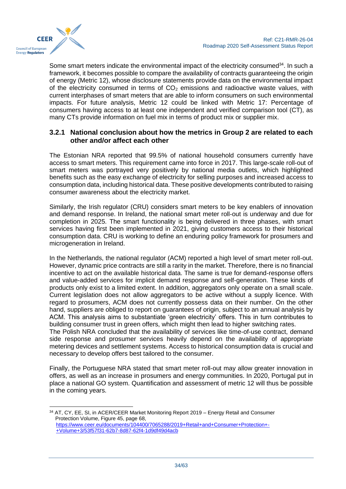

Some smart meters indicate the environmental impact of the electricity consumed $34$ . In such a framework, it becomes possible to compare the availability of contracts guaranteeing the origin of energy (Metric 12), whose disclosure statements provide data on the environmental impact of the electricity consumed in terms of  $CO<sub>2</sub>$  emissions and radioactive waste values, with current interphases of smart meters that are able to inform consumers on such environmental impacts. For future analysis, Metric 12 could be linked with Metric 17: Percentage of consumers having access to at least one independent and verified comparison tool (CT), as many CTs provide information on fuel mix in terms of product mix or supplier mix.

#### <span id="page-33-0"></span>**3.2.1 National conclusion about how the metrics in Group 2 are related to each other and/or affect each other**

The Estonian NRA reported that 99.5% of national household consumers currently have access to smart meters. This requirement came into force in 2017. This large-scale roll-out of smart meters was portrayed very positively by national media outlets, which highlighted benefits such as the easy exchange of electricity for selling purposes and increased access to consumption data, including historical data. These positive developments contributed to raising consumer awareness about the electricity market.

Similarly, the Irish regulator (CRU) considers smart meters to be key enablers of innovation and demand response. In Ireland, the national smart meter roll-out is underway and due for completion in 2025. The smart functionality is being delivered in three phases, with smart services having first been implemented in 2021, giving customers access to their historical consumption data. CRU is working to define an enduring policy framework for prosumers and microgeneration in Ireland.

In the Netherlands, the national regulator (ACM) reported a high level of smart meter roll-out. However, dynamic price contracts are still a rarity in the market. Therefore, there is no financial incentive to act on the available historical data. The same is true for demand-response offers and value-added services for implicit demand response and self-generation. These kinds of products only exist to a limited extent. In addition, aggregators only operate on a small scale. Current legislation does not allow aggregators to be active without a supply licence. With regard to prosumers, ACM does not currently possess data on their number. On the other hand, suppliers are obliged to report on guarantees of origin, subject to an annual analysis by ACM. This analysis aims to substantiate 'green electricity' offers. This in turn contributes to building consumer trust in green offers, which might then lead to higher switching rates.

The Polish NRA concluded that the availability of services like time-of-use contract, demand side response and prosumer services heavily depend on the availability of appropriate metering devices and settlement systems. Access to historical consumption data is crucial and necessary to develop offers best tailored to the consumer.

Finally, the Portuguese NRA stated that smart meter roll-out may allow greater innovation in offers, as well as an increase in prosumers and energy communities. In 2020, Portugal put in place a national GO system. Quantification and assessment of metric 12 will thus be possible in the coming years.

<sup>34</sup> AT, CY, EE, SI, in ACER/CEER Market Monitoring Report 2019 – Energy Retail and Consumer Protection Volume, Figure 45, page 68, [https://www.ceer.eu/documents/104400/7065288/2019+Retail+and+Consumer+Protection+-](https://www.ceer.eu/documents/104400/7065288/2019+Retail+and+Consumer+Protection+-+Volume+3/53f57f31-62b7-8d87-62f4-1d9df49d4acb) [+Volume+3/53f57f31-62b7-8d87-62f4-1d9df49d4acb](https://www.ceer.eu/documents/104400/7065288/2019+Retail+and+Consumer+Protection+-+Volume+3/53f57f31-62b7-8d87-62f4-1d9df49d4acb)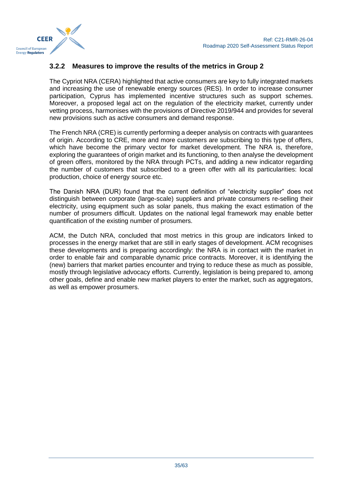

# <span id="page-34-0"></span>**3.2.2 Measures to improve the results of the metrics in Group 2**

The Cypriot NRA (CERA) highlighted that active consumers are key to fully integrated markets and increasing the use of renewable energy sources (RES). In order to increase consumer participation, Cyprus has implemented incentive structures such as support schemes. Moreover, a proposed legal act on the regulation of the electricity market, currently under vetting process, harmonises with the provisions of Directive 2019/944 and provides for several new provisions such as active consumers and demand response.

The French NRA (CRE) is currently performing a deeper analysis on contracts with guarantees of origin. According to CRE, more and more customers are subscribing to this type of offers, which have become the primary vector for market development. The NRA is, therefore, exploring the guarantees of origin market and its functioning, to then analyse the development of green offers, monitored by the NRA through PCTs, and adding a new indicator regarding the number of customers that subscribed to a green offer with all its particularities: local production, choice of energy source etc.

The Danish NRA (DUR) found that the current definition of "electricity supplier" does not distinguish between corporate (large-scale) suppliers and private consumers re-selling their electricity, using equipment such as solar panels, thus making the exact estimation of the number of prosumers difficult. Updates on the national legal framework may enable better quantification of the existing number of prosumers.

ACM, the Dutch NRA, concluded that most metrics in this group are indicators linked to processes in the energy market that are still in early stages of development. ACM recognises these developments and is preparing accordingly: the NRA is in contact with the market in order to enable fair and comparable dynamic price contracts. Moreover, it is identifying the (new) barriers that market parties encounter and trying to reduce these as much as possible, mostly through legislative advocacy efforts. Currently, legislation is being prepared to, among other goals, define and enable new market players to enter the market, such as aggregators, as well as empower prosumers.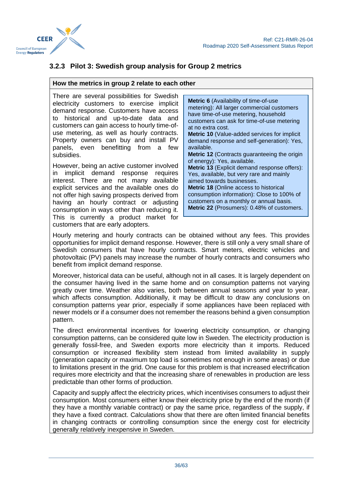

# <span id="page-35-0"></span>**3.2.3 Pilot 3: Swedish group analysis for Group 2 metrics**

#### **How the metrics in group 2 relate to each other**

There are several possibilities for Swedish electricity customers to exercise implicit demand response. Customers have access to historical and up-to-date data and customers can gain access to hourly time-ofuse metering, as well as hourly contracts. Property owners can buy and install PV panels, even benefitting from a few subsidies.

However, being an active customer involved in implicit demand response requires interest. There are not many available explicit services and the available ones do not offer high saving prospects derived from having an hourly contract or adjusting consumption in ways other than reducing it. This is currently a product market for customers that are early adopters.

**Metric 6** (Availability of time-of-use metering): All larger commercial customers have time-of-use metering, household customers can ask for time-of-use metering at no extra cost. **Metric 10** (Value-added services for implicit demand response and self-generation): Yes, available. **Metric 12** (Contracts guaranteeing the origin of energy): Yes, available. **Metric 13** (Explicit demand response offers): Yes, available, but very rare and mainly aimed towards businesses. **Metric 18** (Online access to historical consumption information): Close to 100% of customers on a monthly or annual basis. **Metric 22** (Prosumers): 0.48% of customers.

Hourly metering and hourly contracts can be obtained without any fees. This provides opportunities for implicit demand response. However, there is still only a very small share of Swedish consumers that have hourly contracts. Smart meters, electric vehicles and photovoltaic (PV) panels may increase the number of hourly contracts and consumers who benefit from implicit demand response.

Moreover, historical data can be useful, although not in all cases. It is largely dependent on the consumer having lived in the same home and on consumption patterns not varying greatly over time. Weather also varies, both between annual seasons and year to year, which affects consumption. Additionally, it may be difficult to draw any conclusions on consumption patterns year prior, especially if some appliances have been replaced with newer models or if a consumer does not remember the reasons behind a given consumption pattern.

The direct environmental incentives for lowering electricity consumption, or changing consumption patterns, can be considered quite low in Sweden. The electricity production is generally fossil-free, and Sweden exports more electricity than it imports. Reduced consumption or increased flexibility stem instead from limited availability in supply (generation capacity or maximum top load is sometimes not enough in some areas) or due to limitations present in the grid. One cause for this problem is that increased electrification requires more electricity and that the increasing share of renewables in production are less predictable than other forms of production.

Capacity and supply affect the electricity prices, which incentivises consumers to adjust their consumption. Most consumers either know their electricity price by the end of the month (if they have a monthly variable contract) or pay the same price, regardless of the supply, if they have a fixed contract. Calculations show that there are often limited financial benefits in changing contracts or controlling consumption since the energy cost for electricity generally relatively inexpensive in Sweden.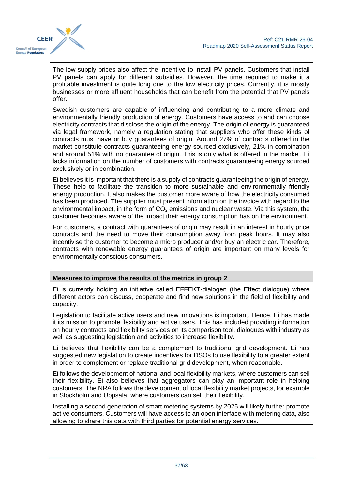

The low supply prices also affect the incentive to install PV panels. Customers that install PV panels can apply for different subsidies. However, the time required to make it a profitable investment is quite long due to the low electricity prices. Currently, it is mostly businesses or more affluent households that can benefit from the potential that PV panels offer.

Swedish customers are capable of influencing and contributing to a more climate and environmentally friendly production of energy. Customers have access to and can choose electricity contracts that disclose the origin of the energy. The origin of energy is guaranteed via legal framework, namely a regulation stating that suppliers who offer these kinds of contracts must have or buy guarantees of origin. Around 27% of contracts offered in the market constitute contracts guaranteeing energy sourced exclusively, 21% in combination and around 51% with no guarantee of origin. This is only what is offered in the market. Ei lacks information on the number of customers with contracts guaranteeing energy sourced exclusively or in combination.

Ei believes it is important that there is a supply of contracts guaranteeing the origin of energy. These help to facilitate the transition to more sustainable and environmentally friendly energy production. It also makes the customer more aware of how the electricity consumed has been produced. The supplier must present information on the invoice with regard to the environmental impact, in the form of  $CO<sub>2</sub>$  emissions and nuclear waste. Via this system, the customer becomes aware of the impact their energy consumption has on the environment.

For customers, a contract with guarantees of origin may result in an interest in hourly price contracts and the need to move their consumption away from peak hours. It may also incentivise the customer to become a micro producer and/or buy an electric car. Therefore, contracts with renewable energy guarantees of origin are important on many levels for environmentally conscious consumers.

#### **Measures to improve the results of the metrics in group 2**

Ei is currently holding an initiative called EFFEKT-dialogen (the Effect dialogue) where different actors can discuss, cooperate and find new solutions in the field of flexibility and capacity.

Legislation to facilitate active users and new innovations is important. Hence, Ei has made it its mission to promote flexibility and active users. This has included providing information on hourly contracts and flexibility services on its comparison tool, dialogues with industry as well as suggesting legislation and activities to increase flexibility.

Ei believes that flexibility can be a complement to traditional grid development. Ei has suggested new legislation to create incentives for DSOs to use flexibility to a greater extent in order to complement or replace traditional grid development, when reasonable.

Ei follows the development of national and local flexibility markets, where customers can sell their flexibility. Ei also believes that aggregators can play an important role in helping customers. The NRA follows the development of local flexibility market projects, for example in Stockholm and Uppsala, where customers can sell their flexibility.

Installing a second generation of smart metering systems by 2025 will likely further promote active consumers. Customers will have access to an open interface with metering data, also allowing to share this data with third parties for potential energy services.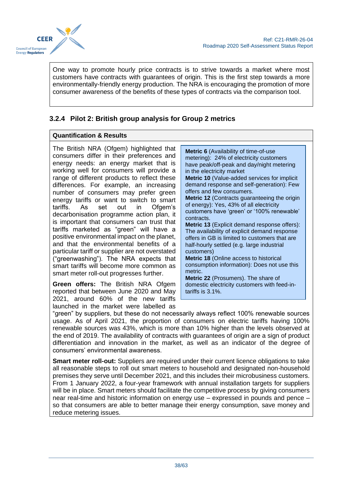

One way to promote hourly price contracts is to strive towards a market where most customers have contracts with guarantees of origin. This is the first step towards a more environmentally-friendly energy production. The NRA is encouraging the promotion of more consumer awareness of the benefits of these types of contracts via the comparison tool.

# <span id="page-37-0"></span>**3.2.4 Pilot 2: British group analysis for Group 2 metrics**

#### **Quantification & Results**

The British NRA (Ofgem) highlighted that consumers differ in their preferences and energy needs: an energy market that is working well for consumers will provide a range of different products to reflect these differences. For example, an increasing number of consumers may prefer green energy tariffs or want to switch to smart tariffs. As set out in Ofgem's decarbonisation programme action plan, it is important that consumers can trust that tariffs marketed as "green" will have a positive environmental impact on the planet, and that the environmental benefits of a particular tariff or supplier are not overstated ("greenwashing"). The NRA expects that smart tariffs will become more common as smart meter roll-out progresses further.

**Green offers:** The British NRA Ofgem reported that between June 2020 and May 2021, around 60% of the new tariffs launched in the market were labelled as

**Metric 6** (Availability of time-of-use metering): 24% of electricity customers have peak/off-peak and day/night metering in the electricity market **Metric 10** (Value-added services for implicit demand response and self-generation): Few offers and few consumers. **Metric 12** (Contracts guaranteeing the origin of energy): Yes, 43% of all electricity customers have 'green' or '100% renewable' contracts. **Metric 13** (Explicit demand response offers): The availability of explicit demand response offers in GB is limited to customers that are half-hourly settled (e.g. large industrial customers) **Metric 18** (Online access to historical consumption information): Does not use this metric. **Metric 22** (Prosumers). The share of domestic electricity customers with feed-intariffs is 3.1%.

"green" by suppliers, but these do not necessarily always reflect 100% renewable sources usage. As of April 2021, the proportion of consumers on electric tariffs having 100% renewable sources was 43%, which is more than 10% higher than the levels observed at the end of 2019. The availability of contracts with guarantees of origin are a sign of product differentiation and innovation in the market, as well as an indicator of the degree of consumers' environmental awareness.

**Smart meter roll-out:** Suppliers are required under their current licence obligations to take all reasonable steps to roll out smart meters to household and designated non-household premises they serve until December 2021, and this includes their microbusiness customers. From 1 January 2022, a four-year framework with annual installation targets for suppliers will be in place. Smart meters should facilitate the competitive process by giving consumers near real-time and historic information on energy use – expressed in pounds and pence – so that consumers are able to better manage their energy consumption, save money and reduce metering issues.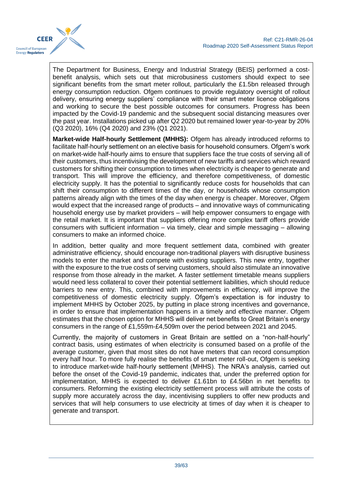

The Department for Business, Energy and Industrial Strategy (BEIS) performed a costbenefit analysis, which sets out that microbusiness customers should expect to see significant benefits from the smart meter rollout, particularly the £1.5bn released through energy consumption reduction. Ofgem continues to provide regulatory oversight of rollout delivery, ensuring energy suppliers' compliance with their smart meter licence obligations and working to secure the best possible outcomes for consumers. Progress has been impacted by the Covid-19 pandemic and the subsequent social distancing measures over the past year. Installations picked up after Q2 2020 but remained lower year-to-year by 20% (Q3 2020), 16% (Q4 2020) and 23% (Q1 2021).

**Market-wide Half-hourly Settlement (MHHS):** Ofgem has already introduced reforms to facilitate half-hourly settlement on an elective basis for household consumers. Ofgem's work on market-wide half-hourly aims to ensure that suppliers face the true costs of serving all of their customers, thus incentivising the development of new tariffs and services which reward customers for shifting their consumption to times when electricity is cheaper to generate and transport. This will improve the efficiency, and therefore competitiveness, of domestic electricity supply. It has the potential to significantly reduce costs for households that can shift their consumption to different times of the day, or households whose consumption patterns already align with the times of the day when energy is cheaper. Moreover, Ofgem would expect that the increased range of products – and innovative ways of communicating household energy use by market providers – will help empower consumers to engage with the retail market. It is important that suppliers offering more complex tariff offers provide consumers with sufficient information – via timely, clear and simple messaging – allowing consumers to make an informed choice.

In addition, better quality and more frequent settlement data, combined with greater administrative efficiency, should encourage non-traditional players with disruptive business models to enter the market and compete with existing suppliers. This new entry, together with the exposure to the true costs of serving customers, should also stimulate an innovative response from those already in the market. A faster settlement timetable means suppliers would need less collateral to cover their potential settlement liabilities, which should reduce barriers to new entry. This, combined with improvements in efficiency, will improve the competitiveness of domestic electricity supply. Ofgem's expectation is for industry to implement MHHS by October 2025, by putting in place strong incentives and governance, in order to ensure that implementation happens in a timely and effective manner. Ofgem estimates that the chosen option for MHHS will deliver net benefits to Great Britain's energy consumers in the range of £1,559m-£4,509m over the period between 2021 and 2045.

Currently, the majority of customers in Great Britain are settled on a "non-half-hourly" contract basis, using estimates of when electricity is consumed based on a profile of the average customer, given that most sites do not have meters that can record consumption every half hour. To more fully realise the benefits of smart meter roll-out, Ofgem is seeking to introduce market-wide half-hourly settlement (MHHS). The NRA's analysis, carried out before the onset of the Covid-19 pandemic, indicates that, under the preferred option for implementation, MHHS is expected to deliver £1.61bn to £4.56bn in net benefits to consumers. Reforming the existing electricity settlement process will attribute the costs of supply more accurately across the day, incentivising suppliers to offer new products and services that will help consumers to use electricity at times of day when it is cheaper to generate and transport.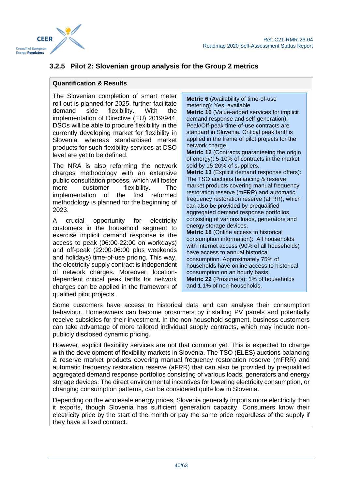

# <span id="page-39-0"></span>**3.2.5 Pilot 2: Slovenian group analysis for the Group 2 metrics**

#### **Quantification & Results**

The Slovenian completion of smart meter roll out is planned for 2025, further facilitate demand side flexibility. With the implementation of Directive (EU) 2019/944, DSOs will be able to procure flexibility in the currently developing market for flexibility in Slovenia, whereas standardised market products for such flexibility services at DSO level are yet to be defined.

The NRA is also reforming the network charges methodology with an extensive public consultation process, which will foster more customer flexibility. The implementation of the first reformed methodology is planned for the beginning of 2023.

A crucial opportunity for electricity customers in the household segment to exercise implicit demand response is the access to peak (06:00-22:00 on workdays) and off-peak (22:00-06:00 plus weekends and holidays) time-of-use pricing. This way, the electricity supply contract is independent of network charges. Moreover, locationdependent critical peak tariffs for network charges can be applied in the framework of qualified pilot projects.

**Metric 6** (Availability of time-of-use metering): Yes, available **Metric 10** (Value-added services for implicit demand response and self-generation): Peak/Off-peak time-of-use contracts are standard in Slovenia. Critical peak tariff is applied in the frame of pilot projects for the network charge. **Metric 12** (Contracts guaranteeing the origin of energy): 5-10% of contracts in the market sold by 15-20% of suppliers. **Metric 13** (Explicit demand response offers): The TSO auctions balancing & reserve market products covering manual frequency restoration reserve (mFRR) and automatic frequency restoration reserve (aFRR), which can also be provided by prequalified aggregated demand response portfolios consisting of various loads, generators and energy storage devices. **Metric 18** (Online access to historical consumption information): All households with internet access (90% of all households) have access to annual historical consumption. Approximately 75% of households have online access to historical consumption on an hourly basis. **Metric 22** (Prosumers): 1% of households and 1.1% of non-households.

Some customers have access to historical data and can analyse their consumption behaviour. Homeowners can become prosumers by installing PV panels and potentially receive subsidies for their investment. In the non-household segment, business customers can take advantage of more tailored individual supply contracts, which may include nonpublicly disclosed dynamic pricing.

However, explicit flexibility services are not that common yet. This is expected to change with the development of flexibility markets in Slovenia. The TSO (ELES) auctions balancing & reserve market products covering manual frequency restoration reserve (mFRR) and automatic frequency restoration reserve (aFRR) that can also be provided by prequalified aggregated demand response portfolios consisting of various loads, generators and energy storage devices. The direct environmental incentives for lowering electricity consumption, or changing consumption patterns, can be considered quite low in Slovenia.

Depending on the wholesale energy prices, Slovenia generally imports more electricity than it exports, though Slovenia has sufficient generation capacity. Consumers know their electricity price by the start of the month or pay the same price regardless of the supply if they have a fixed contract.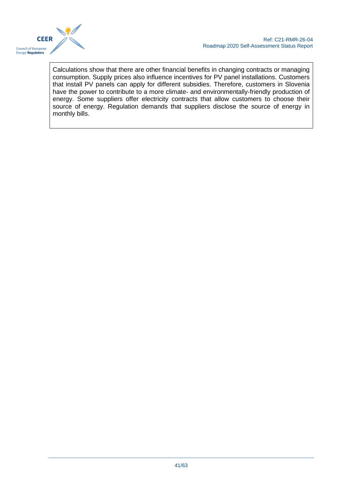

Calculations show that there are other financial benefits in changing contracts or managing consumption. Supply prices also influence incentives for PV panel installations. Customers that install PV panels can apply for different subsidies. Therefore, customers in Slovenia have the power to contribute to a more climate- and environmentally-friendly production of energy. Some suppliers offer electricity contracts that allow customers to choose their source of energy. Regulation demands that suppliers disclose the source of energy in monthly bills.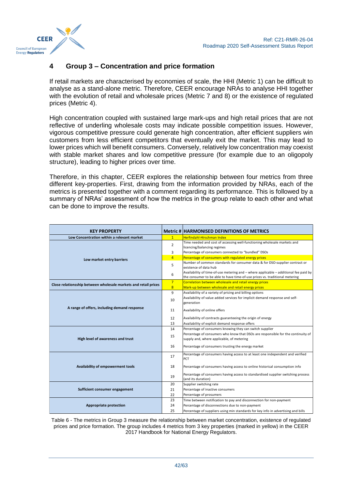

# <span id="page-41-0"></span>**4 Group 3 – Concentration and price formation**

If retail markets are characterised by economies of scale, the HHI (Metric 1) can be difficult to analyse as a stand-alone metric. Therefore, CEER encourage NRAs to analyse HHI together with the evolution of retail and wholesale prices (Metric 7 and 8) or the existence of regulated prices (Metric 4).

High concentration coupled with sustained large mark-ups and high retail prices that are not reflective of underling wholesale costs may indicate possible competition issues. However, vigorous competitive pressure could generate high concentration, after efficient suppliers win customers from less efficient competitors that eventually exit the market. This may lead to lower prices which will benefit consumers. Conversely, relatively low concentration may coexist with stable market shares and low competitive pressure (for example due to an oligopoly structure), leading to higher prices over time.

Therefore, in this chapter, CEER explores the relationship between four metrics from three different key-properties. First, drawing from the information provided by NRAs, each of the metrics is presented together with a comment regarding its performance. This is followed by a summary of NRAs' assessment of how the metrics in the group relate to each other and what can be done to improve the results.

| <b>KEY PROPERTY</b>                                             |                         | <b>Metric # HARMONISED DEFINITIONS OF METRICS</b>                                                                                                                   |
|-----------------------------------------------------------------|-------------------------|---------------------------------------------------------------------------------------------------------------------------------------------------------------------|
| Low Concentration within a relevant market                      | $\mathbf{1}$            | Herfindahl-Hirschman Index                                                                                                                                          |
|                                                                 | $\overline{2}$          | Time needed and cost of accessing well-functioning wholesale markets and<br>licencing/balancing regimes                                                             |
|                                                                 | 3                       | Percentage of consumers connected to "bundled" DSOs                                                                                                                 |
| Low market entry barriers                                       | $\overline{4}$          | Percentage of consumers with regulated energy prices                                                                                                                |
|                                                                 | 5                       | Number of common standards for consumer data & for DSO-supplier contract or<br>existence of data hub                                                                |
|                                                                 |                         | Availability of time-of-use metering and - where applicable - additional fee paid by<br>the consumer to be able to have time-of-use prices vs. traditional metering |
| Close relationsship between wholesale markets and retail prices | 7 <sup>2</sup>          | Correlation between wholesale and retail energy prices                                                                                                              |
|                                                                 | $\overline{\mathbf{8}}$ | Mark-up between wholesale and retail energy prices                                                                                                                  |
|                                                                 | 9                       | Availability of a variety of pricing and billing options                                                                                                            |
|                                                                 | 10                      | Availability of value added services for implicit demand response and self-<br>generation                                                                           |
| A range of offers, including demand response                    | 11                      | Availability of online offers                                                                                                                                       |
|                                                                 | 12                      | Availability of contracts guaranteeing the origin of energy                                                                                                         |
|                                                                 | 13                      | Availability of explicit demand response offers                                                                                                                     |
|                                                                 | 14                      | Percentage of consumers knowing they can switch supplier                                                                                                            |
| High level of awareness and trust                               | 15                      | Percentage of consumers who know that DSOs are responsible for the continuity of<br>supply and, where applicable, of metering                                       |
|                                                                 | 16                      | Percentage of consumers trusting the energy market                                                                                                                  |
|                                                                 | 17                      | Percentage of consumers having access to at least one independent and verified<br>PCT                                                                               |
| Availability of empowerment tools                               | 18                      | Percentage of consumers having access to online historical consumption info                                                                                         |
|                                                                 | 19                      | Percentage of consumers having access to standardised supplier switching process<br>(and its duration)                                                              |
|                                                                 | 20                      | Supplier switching rate                                                                                                                                             |
| Sufficient consumer engagement                                  | 21                      | Percentage of inactive consumers                                                                                                                                    |
|                                                                 | 22                      | Percentage of prosumers                                                                                                                                             |
|                                                                 | 23                      | Time between notification to pay and disconnection for non-payment                                                                                                  |
| Appropriate protection                                          | 24                      | Percentage of disconnections due to non-payment                                                                                                                     |
|                                                                 | 25                      | Percentage of suppliers using min standards for key info in advertising and bills                                                                                   |

<span id="page-41-1"></span>Table 6 - The metrics in Group 3 measure the relationship between market concentration, existence of regulated prices and price formation. The group includes 4 metrics from 3 key properties (marked in yellow) in the CEER 2017 Handbook for National Energy Regulators.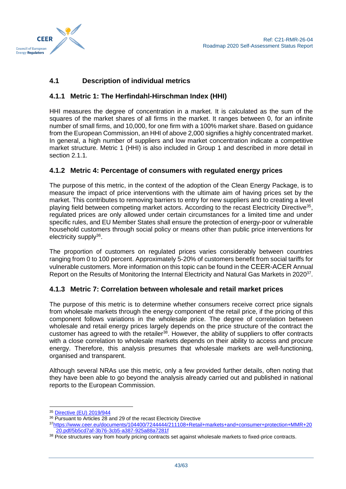

# <span id="page-42-0"></span>**4.1 Description of individual metrics**

# <span id="page-42-1"></span>**4.1.1 Metric 1: The Herfindahl-Hirschman Index (HHI)**

HHI measures the degree of concentration in a market. It is calculated as the sum of the squares of the market shares of all firms in the market. It ranges between 0, for an infinite number of small firms, and 10,000, for one firm with a 100% market share. Based on guidance from the European Commission, an HHI of above 2,000 signifies a highly concentrated market. In general, a high number of suppliers and low market concentration indicate a competitive market structure. Metric 1 (HHI) is also included in Group 1 and described in more detail in section 2.1.1.

# <span id="page-42-2"></span>**4.1.2 Metric 4: Percentage of consumers with regulated energy prices**

The purpose of this metric, in the context of the adoption of the Clean Energy Package, is to measure the impact of price interventions with the ultimate aim of having prices set by the market. This contributes to removing barriers to entry for new suppliers and to creating a level playing field between competing market actors. According to the recast Electricity Directive<sup>35</sup>, regulated prices are only allowed under certain circumstances for a limited time and under specific rules, and EU Member States shall ensure the protection of energy-poor or vulnerable household customers through social policy or means other than public price interventions for electricity supply<sup>36</sup>.

The proportion of customers on regulated prices varies considerably between countries ranging from 0 to 100 percent. Approximately 5-20% of customers benefit from social tariffs for vulnerable customers. More information on this topic can be found in the CEER-ACER Annual Report on the Results of Monitoring the Internal Electricity and Natural Gas Markets in 2020<sup>37</sup>.

# <span id="page-42-3"></span>**4.1.3 Metric 7: Correlation between wholesale and retail market prices**

The purpose of this metric is to determine whether consumers receive correct price signals from wholesale markets through the energy component of the retail price, if the pricing of this component follows variations in the wholesale price. The degree of correlation between wholesale and retail energy prices largely depends on the price structure of the contract the customer has agreed to with the retailer<sup>38</sup>. However, the ability of suppliers to offer contracts with a close correlation to wholesale markets depends on their ability to access and procure energy. Therefore, this analysis presumes that wholesale markets are well-functioning, organised and transparent.

Although several NRAs use this metric, only a few provided further details, often noting that they have been able to go beyond the analysis already carried out and published in national reports to the European Commission.

<sup>35</sup> [Directive \(EU\) 2019/944](https://eur-lex.europa.eu/legal-content/EN/TXT/?uri=CELEX%3A32019L0944)

<sup>&</sup>lt;sup>36</sup> Pursuant to Articles 28 and 29 of the recast Electricity Directive

<sup>37</sup>[https://www.ceer.eu/documents/104400/7244444/211108+Retail+markets+and+consumer+protection+MMR+20](https://www.ceer.eu/documents/104400/7244444/211108+Retail+markets+and+consumer+protection+MMR+2020.pdf/5b5cd7af-3b76-3cb5-a387-925a88a7281f) [20.pdf/5b5cd7af-3b76-3cb5-a387-925a88a7281f](https://www.ceer.eu/documents/104400/7244444/211108+Retail+markets+and+consumer+protection+MMR+2020.pdf/5b5cd7af-3b76-3cb5-a387-925a88a7281f)

<sup>38</sup> Price structures vary from hourly pricing contracts set against wholesale markets to fixed-price contracts.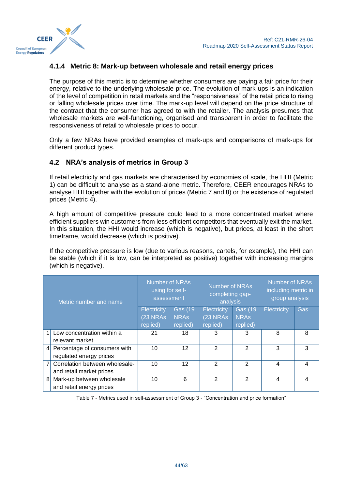

# <span id="page-43-0"></span>**4.1.4 Metric 8: Mark-up between wholesale and retail energy prices**

The purpose of this metric is to determine whether consumers are paying a fair price for their energy, relative to the underlying wholesale price. The evolution of mark-ups is an indication of the level of competition in retail markets and the "responsiveness" of the retail price to rising or falling wholesale prices over time. The mark-up level will depend on the price structure of the contract that the consumer has agreed to with the retailer. The analysis presumes that wholesale markets are well-functioning, organised and transparent in order to facilitate the responsiveness of retail to wholesale prices to occur.

Only a few NRAs have provided examples of mark-ups and comparisons of mark-ups for different product types.

# <span id="page-43-1"></span>**4.2 NRA's analysis of metrics in Group 3**

If retail electricity and gas markets are characterised by economies of scale, the HHI (Metric 1) can be difficult to analyse as a stand-alone metric. Therefore, CEER encourages NRAs to analyse HHI together with the evolution of prices (Metric 7 and 8) or the existence of regulated prices (Metric 4).

A high amount of competitive pressure could lead to a more concentrated market where efficient suppliers win customers from less efficient competitors that eventually exit the market. In this situation, the HHI would increase (which is negative), but prices, at least in the short timeframe, would decrease (which is positive).

If the competitive pressure is low (due to various reasons, cartels, for example), the HHI can be stable (which if it is low, can be interpreted as positive) together with increasing margins (which is negative).

| Metric number and name         |                                | Number of NRAs<br>using for self-<br>assessment |                                     | Number of NRAs<br>completing gap-<br>analysis |                                | Number of NRAs<br>including metric in<br>group analysis |     |
|--------------------------------|--------------------------------|-------------------------------------------------|-------------------------------------|-----------------------------------------------|--------------------------------|---------------------------------------------------------|-----|
|                                |                                | <b>Electricity</b><br>(23 NRAs                  | <b>Gas (19)</b><br>NRA <sub>s</sub> | Electricity<br>$(23$ NRAs                     | <b>Gas (19)</b><br><b>NRAs</b> | Electricity                                             | Gas |
|                                |                                | replied)                                        | replied)                            | replied)                                      | replied)                       |                                                         |     |
| 1                              | Low concentration within a     | 21                                              | 18                                  | 3                                             | 3                              | 8                                                       | 8   |
|                                | relevant market                |                                                 |                                     |                                               |                                |                                                         |     |
| $\vert 4 \vert$                | Percentage of consumers with   | 10                                              | 12                                  | $\mathcal{P}$                                 | $\mathcal{P}$                  | 3                                                       | 3   |
|                                | regulated energy prices        |                                                 |                                     |                                               |                                |                                                         |     |
|                                | Correlation between wholesale- | 10                                              | 12                                  | $\mathcal{P}$                                 | $\mathcal{P}$                  | 4                                                       | 4   |
|                                | and retail market prices       |                                                 |                                     |                                               |                                |                                                         |     |
| 8<br>Mark-up between wholesale |                                | 10                                              | 6                                   | 2                                             | $\mathcal{P}$                  | 4                                                       | 4   |
|                                | and retail energy prices       |                                                 |                                     |                                               |                                |                                                         |     |

<span id="page-43-2"></span>Table 7 - Metrics used in self-assessment of Group 3 - "Concentration and price formation"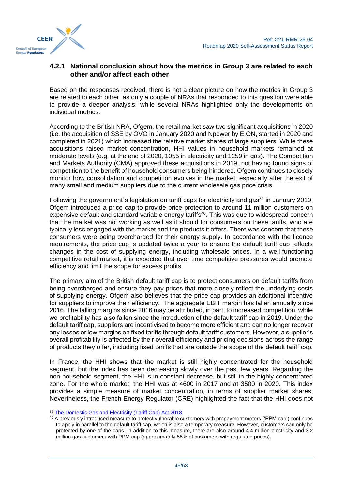

### <span id="page-44-0"></span>**4.2.1 National conclusion about how the metrics in Group 3 are related to each other and/or affect each other**

Based on the responses received, there is not a clear picture on how the metrics in Group 3 are related to each other, as only a couple of NRAs that responded to this question were able to provide a deeper analysis, while several NRAs highlighted only the developments on individual metrics.

According to the British NRA, Ofgem, the retail market saw two significant acquisitions in 2020 (i.e. the acquisition of SSE by OVO in January 2020 and Npower by E.ON, started in 2020 and completed in 2021) which increased the relative market shares of large suppliers. While these acquisitions raised market concentration, HHI values in household markets remained at moderate levels (e.g. at the end of 2020, 1055 in electricity and 1259 in gas). The Competition and Markets Authority (CMA) approved these acquisitions in 2019, not having found signs of competition to the benefit of household consumers being hindered. Ofgem continues to closely monitor how consolidation and competition evolves in the market, especially after the exit of many small and medium suppliers due to the current wholesale gas price crisis.

Following the government's legislation on tariff caps for electricity and gas<sup>39</sup> in January 2019, Ofgem introduced a price cap to provide price protection to around 11 million customers on expensive default and standard variable energy tariffs<sup>40</sup>. This was due to widespread concern that the market was not working as well as it should for consumers on these tariffs, who are typically less engaged with the market and the products it offers. There was concern that these consumers were being overcharged for their energy supply. In accordance with the licence requirements, the price cap is updated twice a year to ensure the default tariff cap reflects changes in the cost of supplying energy, including wholesale prices. In a well-functioning competitive retail market, it is expected that over time competitive pressures would promote efficiency and limit the scope for excess profits.

The primary aim of the British default tariff cap is to protect consumers on default tariffs from being overcharged and ensure they pay prices that more closely reflect the underlying costs of supplying energy. Ofgem also believes that the price cap provides an additional incentive for suppliers to improve their efficiency. The aggregate EBIT margin has fallen annually since 2016. The falling margins since 2016 may be attributed, in part, to increased competition, while we profitability has also fallen since the introduction of the default tariff cap in 2019. Under the default tariff cap, suppliers are incentivised to become more efficient and can no longer recover any losses or low margins on fixed tariffs through default tariff customers. However, a supplier's overall profitability is affected by their overall efficiency and pricing decisions across the range of products they offer, including fixed tariffs that are outside the scope of the default tariff cap.

In France, the HHI shows that the market is still highly concentrated for the household segment, but the index has been decreasing slowly over the past few years. Regarding the non-household segment, the HHI is in constant decrease, but still in the highly concentrated zone. For the whole market, the HHI was at 4600 in 2017 and at 3500 in 2020. This index provides a simple measure of market concentration, in terms of supplier market shares. Nevertheless, the French Energy Regulator (CRE) highlighted the fact that the HHI does not

<sup>39</sup> [The Domestic Gas and Electricity \(Tariff Cap\) Act 2018](https://www.legislation.gov.uk/ukpga/2018/21/pdfs/ukpga_20180021_en.pdf)

<sup>40</sup> A previously introduced measure to protect vulnerable customers with prepayment meters ('PPM cap') continues to apply in parallel to the default tariff cap, which is also a temporary measure. However, customers can only be protected by one of the caps. In addition to this measure, there are also around 4.4 million electricity and 3.2 million gas customers with PPM cap (approximately 55% of customers with regulated prices).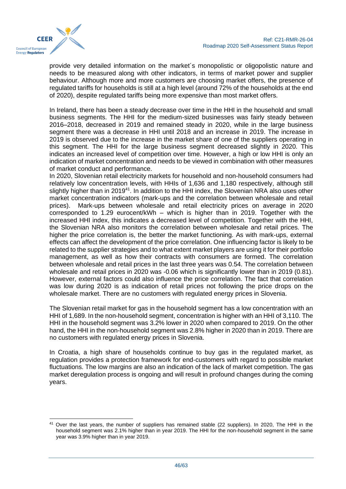

provide very detailed information on the market´s monopolistic or oligopolistic nature and needs to be measured along with other indicators, in terms of market power and supplier behaviour. Although more and more customers are choosing market offers, the presence of regulated tariffs for households is still at a high level (around 72% of the households at the end of 2020), despite regulated tariffs being more expensive than most market offers.

In Ireland, there has been a steady decrease over time in the HHI in the household and small business segments. The HHI for the medium-sized businesses was fairly steady between 2016–2018, decreased in 2019 and remained steady in 2020, while in the large business segment there was a decrease in HHI until 2018 and an increase in 2019. The increase in 2019 is observed due to the increase in the market share of one of the suppliers operating in this segment. The HHI for the large business segment decreased slightly in 2020. This indicates an increased level of competition over time. However, a high or low HHI is only an indication of market concentration and needs to be viewed in combination with other measures of market conduct and performance.

In 2020, Slovenian retail electricity markets for household and non-household consumers had relatively low concentration levels, with HHIs of 1,636 and 1,180 respectively, although still slightly higher than in 2019<sup>41</sup>. In addition to the HHI index, the Slovenian NRA also uses other market concentration indicators (mark-ups and the correlation between wholesale and retail prices). Mark-ups between wholesale and retail electricity prices on average in 2020 corresponded to 1.29 eurocent/kWh – which is higher than in 2019. Together with the increased HHI index, this indicates a decreased level of competition. Together with the HHI, the Slovenian NRA also monitors the correlation between wholesale and retail prices. The higher the price correlation is, the better the market functioning. As with mark-ups, external effects can affect the development of the price correlation. One influencing factor is likely to be related to the supplier strategies and to what extent market players are using it for their portfolio management, as well as how their contracts with consumers are formed. The correlation between wholesale and retail prices in the last three years was 0.54. The correlation between wholesale and retail prices in 2020 was -0.06 which is significantly lower than in 2019 (0.81). However, external factors could also influence the price correlation. The fact that correlation was low during 2020 is as indication of retail prices not following the price drops on the wholesale market. There are no customers with regulated energy prices in Slovenia.

The Slovenian retail market for gas in the household segment has a low concentration with an HHI of 1,689. In the non-household segment, concentration is higher with an HHI of 3,110. The HHI in the household segment was 3.2% lower in 2020 when compared to 2019. On the other hand, the HHI in the non-household segment was 2.8% higher in 2020 than in 2019. There are no customers with regulated energy prices in Slovenia.

In Croatia, a high share of households continue to buy gas in the regulated market, as regulation provides a protection framework for end-customers with regard to possible market fluctuations. The low margins are also an indication of the lack of market competition. The gas market deregulation process is ongoing and will result in profound changes during the coming years.

<sup>41</sup> Over the last years, the number of suppliers has remained stable (22 suppliers). In 2020, The HHI in the household segment was 2.1% higher than in year 2019. The HHI for the non-household segment in the same year was 3.9% higher than in year 2019.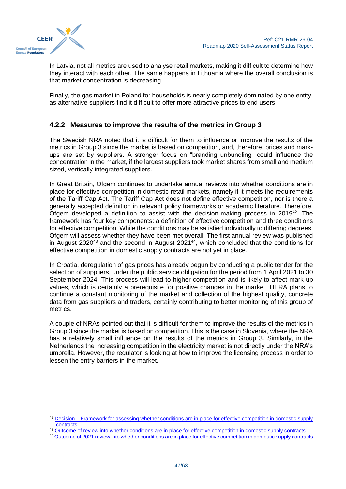

In Latvia, not all metrics are used to analyse retail markets, making it difficult to determine how they interact with each other. The same happens in Lithuania where the overall conclusion is that market concentration is decreasing.

Finally, the gas market in Poland for households is nearly completely dominated by one entity, as alternative suppliers find it difficult to offer more attractive prices to end users.

# <span id="page-46-0"></span>**4.2.2 Measures to improve the results of the metrics in Group 3**

The Swedish NRA noted that it is difficult for them to influence or improve the results of the metrics in Group 3 since the market is based on competition, and, therefore, prices and markups are set by suppliers. A stronger focus on "branding unbundling" could influence the concentration in the market, if the largest suppliers took market shares from small and medium sized, vertically integrated suppliers.

In Great Britain, Ofgem continues to undertake annual reviews into whether conditions are in place for effective competition in domestic retail markets, namely if it meets the requirements of the Tariff Cap Act. The Tariff Cap Act does not define effective competition, nor is there a generally accepted definition in relevant policy frameworks or academic literature. Therefore, Ofgem developed a definition to assist with the decision-making process in 2019<sup>42</sup>. The framework has four key components: a definition of effective competition and three conditions for effective competition. While the conditions may be satisfied individually to differing degrees, Ofgem will assess whether they have been met overall. The first annual review was published in August 2020<sup>43</sup> and the second in August 2021<sup>44</sup>, which concluded that the conditions for effective competition in domestic supply contracts are not yet in place.

In Croatia, deregulation of gas prices has already begun by conducting a public tender for the selection of suppliers, under the public service obligation for the period from 1 April 2021 to 30 September 2024. This process will lead to higher competition and is likely to affect mark-up values, which is certainly a prerequisite for positive changes in the market. HERA plans to continue a constant monitoring of the market and collection of the highest quality, concrete data from gas suppliers and traders, certainly contributing to better monitoring of this group of metrics.

A couple of NRAs pointed out that it is difficult for them to improve the results of the metrics in Group 3 since the market is based on competition. This is the case in Slovenia, where the NRA has a relatively small influence on the results of the metrics in Group 3. Similarly, in the Netherlands the increasing competition in the electricity market is not directly under the NRA's umbrella. However, the regulator is looking at how to improve the licensing process in order to lessen the entry barriers in the market.

<sup>&</sup>lt;sup>42</sup> Decision – Framework for assessing whether conditions are in place for effective competition in domestic supply **[contracts](https://www.ofgem.gov.uk/sites/default/files/docs/2019/10/cfec_decision_final_1.pdf)** 

<sup>43</sup> [Outcome of review into whether conditions are in place for effective competition in domestic supply contracts](https://www.ofgem.gov.uk/sites/default/files/docs/2020/08/cfec_review_final_publication_1.pdf)

<sup>44</sup> [Outcome of 2021 review into whether conditions are in place for effective competition in domestic supply contracts](https://www.ofgem.gov.uk/sites/default/files/2021-08/CfEC_review_2021_publication_final.pdf)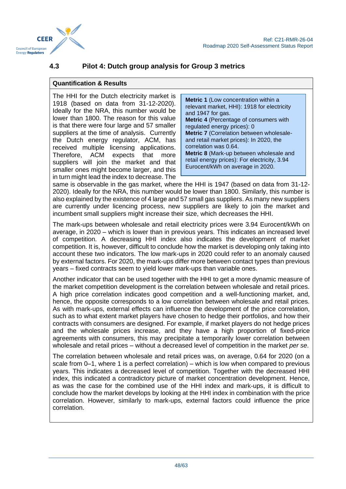

# <span id="page-47-0"></span>**4.3 Pilot 4: Dutch group analysis for Group 3 metrics**

#### **Quantification & Results**

The HHI for the Dutch electricity market is 1918 (based on data from 31-12-2020). Ideally for the NRA, this number would be lower than 1800. The reason for this value is that there were four large and 57 smaller suppliers at the time of analysis. Currently the Dutch energy regulator, ACM, has received multiple licensing applications. Therefore, ACM expects that more suppliers will join the market and that smaller ones might become larger, and this in turn might lead the index to decrease. The

**Metric 1** (Low concentration within a relevant market, HHI): 1918 for electricity and 1947 for gas. **Metric 4** (Percentage of consumers with regulated energy prices): 0 **Metric 7** (Correlation between wholesaleand retail market prices): In 2020, the correlation was 0.64. **Metric 8** (Mark-up between wholesale and retail energy prices): For electricity, 3.94 Eurocent/kWh on average in 2020.

same is observable in the gas market, where the HHI is 1947 (based on data from 31-12- 2020). Ideally for the NRA, this number would be lower than 1800. Similarly, this number is also explained by the existence of 4 large and 57 small gas suppliers. As many new suppliers are currently under licencing process, new suppliers are likely to join the market and incumbent small suppliers might increase their size, which decreases the HHI.

The mark-ups between wholesale and retail electricity prices were 3.94 Eurocent/kWh on average, in 2020 – which is lower than in previous years. This indicates an increased level of competition. A decreasing HHI index also indicates the development of market competition. It is, however, difficult to conclude how the market is developing only taking into account these two indicators. The low mark-ups in 2020 could refer to an anomaly caused by external factors. For 2020, the mark-ups differ more between contact types than previous years – fixed contracts seem to yield lower mark-ups than variable ones.

Another indicator that can be used together with the HHI to get a more dynamic measure of the market competition development is the correlation between wholesale and retail prices. A high price correlation indicates good competition and a well-functioning market, and, hence, the opposite corresponds to a low correlation between wholesale and retail prices. As with mark-ups, external effects can influence the development of the price correlation, such as to what extent market players have chosen to hedge their portfolios, and how their contracts with consumers are designed. For example, if market players do not hedge prices and the wholesale prices increase, and they have a high proportion of fixed-price agreements with consumers, this may precipitate a temporarily lower correlation between wholesale and retail prices – without a decreased level of competition in the market *per se*.

The correlation between wholesale and retail prices was, on average, 0.64 for 2020 (on a scale from 0–1, where 1 is a perfect correlation) – which is low when compared to previous years. This indicates a decreased level of competition. Together with the decreased HHI index, this indicated a contradictory picture of market concentration development. Hence, as was the case for the combined use of the HHI index and mark-ups, it is difficult to conclude how the market develops by looking at the HHI index in combination with the price correlation. However, similarly to mark-ups, external factors could influence the price correlation.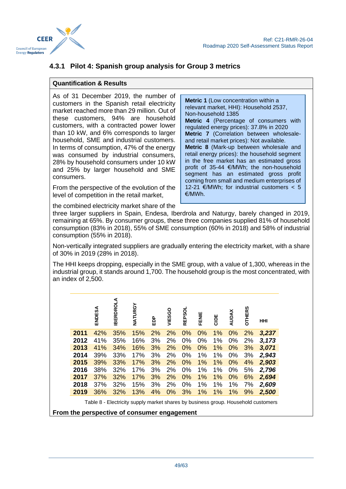

# <span id="page-48-0"></span>**4.3.1 Pilot 4: Spanish group analysis for Group 3 metrics**

#### **Quantification & Results**

As of 31 December 2019, the number of customers in the Spanish retail electricity market reached more than 29 million. Out of these customers, 94% are household customers, with a contracted power lower than 10 kW, and 6% corresponds to larger household, SME and industrial customers. In terms of consumption, 47% of the energy was consumed by industrial consumers, 28% by household consumers under 10 kW and 25% by larger household and SME consumers.

From the perspective of the evolution of the level of competition in the retail market,

**Metric 1** (Low concentration within a relevant market, HHI): Household 2537, Non-household 1385 **Metric 4** (Percentage of consumers with regulated energy prices): 37.8% in 2020 **Metric 7** (Correlation between wholesaleand retail market prices): Not available. **Metric 8** (Mark-up between wholesale and retail energy prices): the household segment in the free market has an estimated gross profit of 35-44 €/MWh; the non-household segment has an estimated gross profit coming from small and medium enterprises of 12-21 €/MWh; for industrial customers  $\lt$  5 €/MWh.

the combined electricity market share of the

three larger suppliers in Spain, Endesa, Iberdrola and Naturgy, barely changed in 2019, remaining at 65%. By consumer groups, these three companies supplied 81% of household consumption (83% in 2018), 55% of SME consumption (60% in 2018) and 58% of industrial consumption (55% in 2018).

Non-vertically integrated suppliers are gradually entering the electricity market, with a share of 30% in 2019 (28% in 2018).

The HHI keeps dropping, especially in the SME group, with a value of 1,300, whereas in the industrial group, it stands around 1,700. The household group is the most concentrated, with an index of 2,500.

|      | ENDESA | <b>IBERDROLA</b> | NATURGY | 음<br>대 | VIESGO | <b>REPSOL</b> | FENIE | CIDE | <b>AUDAX</b> | <b>OTHERS</b> | HHI   |
|------|--------|------------------|---------|--------|--------|---------------|-------|------|--------------|---------------|-------|
| 2011 | 42%    | 35%              | 15%     | 2%     | 2%     | 0%            | 0%    | 1%   | 0%           | 2%            | 3,237 |
| 2012 | 41%    | 35%              | 16%     | 3%     | 2%     | 0%            | 0%    | 1%   | 0%           | 2%            | 3,173 |
| 2013 | 41%    | 34%              | 16%     | 3%     | 2%     | 0%            | 0%    | 1%   | 0%           | 3%            | 3,071 |
| 2014 | 39%    | 33%              | 17%     | 3%     | 2%     | 0%            | $1\%$ | 1%   | $0\%$        | 3%            | 2,943 |
| 2015 | 39%    | 33%              | 17%     | 3%     | 2%     | 0%            | 1%    | 1%   | 0%           | 4%            | 2,903 |
| 2016 | 38%    | 32%              | 17%     | 3%     | 2%     | 0%            | 1%    | 1%   | $0\%$        | 5%            | 2,796 |
| 2017 | 37%    | 32%              | 17%     | 3%     | 2%     | 0%            | 1%    | 1%   | 0%           | 6%            | 2,694 |
| 2018 | 37%    | 32%              | 15%     | 3%     | 2%     | 0%            | 1%    | 1%   | 1%           | 7%            | 2,609 |
| 2019 | 36%    | 32%              | 13%     | 4%     | 0%     | 3%            | 1%    | 1%   | 1%           | 9%            | 2,500 |
|      |        |                  |         |        |        |               |       |      |              |               |       |

Table 8 - Electricity supply market shares by business group. Household customers

<span id="page-48-1"></span>**From the perspective of consumer engagement**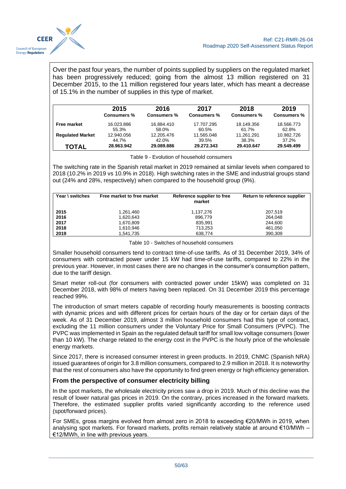

Over the past four years, the number of points supplied by suppliers on the regulated market has been progressively reduced; going from the almost 13 million registered on 31 December 2015, to the 11 million registered four years later, which has meant a decrease of 15.1% in the number of supplies in this type of market.

|                         | 2015        | 2016        | 2017        | 2018        | 2019               |
|-------------------------|-------------|-------------|-------------|-------------|--------------------|
|                         | Consumers % | Consumers % | Consumers % | Consumers % | <b>Consumers %</b> |
| <b>Free market</b>      | 16.023.886  | 16.884.410  | 17.707.295  | 18.149.356  | 18.566.773         |
|                         | 55.3%       | 58.0%       | 60.5%       | 61.7%       | 62.8%              |
| <b>Regulated Market</b> | 12.940.056  | 12.205.476  | 11.565.048  | 11.261.291  | 10.982.726         |
|                         | 44.7%       | 42.0%       | 39.5%       | 38.3%       | 37.2%              |
| TOTAL                   | 28.963.942  | 29.089.886  | 29.272.343  | 29.410.647  | 29.549.499         |

Table 9 - Evolution of household consumers

<span id="page-49-0"></span>The switching rate in the Spanish retail market in 2019 remained at similar levels when compared to 2018 (10.2% in 2019 vs 10.9% in 2018). High switching rates in the SME and industrial groups stand out (24% and 28%, respectively) when compared to the household group (9%).

| Year \ switches | Free market to free market | Reference supplier to free<br>market | Return to reference supplier |
|-----------------|----------------------------|--------------------------------------|------------------------------|
| 2015            | 1,261,460                  | 1,137,276                            | 207,519                      |
| 2016            | 1,620,643                  | 896,779                              | 264.048                      |
| 2017            | 1,670,809                  | 835,991                              | 244,600                      |
| 2018            | 1,610,946                  | 713.253                              | 461.050                      |
| 2019            | 1.541.735                  | 638,774                              | 390.309                      |

Table 10 - Switches of household consumers

<span id="page-49-1"></span>Smaller household consumers tend to contract time-of-use tariffs. As of 31 December 2019, 34% of consumers with contracted power under 15 kW had time-of-use tariffs, compared to 22% in the previous year. However, in most cases there are no changes in the consumer's consumption pattern, due to the tariff design.

Smart meter roll-out (for consumers with contracted power under 15kW) was completed on 31 December 2018, with 98% of meters having been replaced. On 31 December 2019 this percentage reached 99%.

The introduction of smart meters capable of recording hourly measurements is boosting contracts with dynamic prices and with different prices for certain hours of the day or for certain days of the week. As of 31 December 2019, almost 3 million household consumers had this type of contract, excluding the 11 million consumers under the Voluntary Price for Small Consumers (PVPC). The PVPC was implemented in Spain as the regulated default tariff for small low voltage consumers (lower than 10 kW). The charge related to the energy cost in the PVPC is the hourly price of the wholesale energy markets.

Since 2017, there is increased consumer interest in green products. In 2019, CNMC (Spanish NRA) issued guarantees of origin for 3.8 million consumers, compared to 2.9 million in 2018. It is noteworthy that the rest of consumers also have the opportunity to find green energy or high efficiency generation.

#### **From the perspective of consumer electricity billing**

In the spot markets, the wholesale electricity prices saw a drop in 2019. Much of this decline was the result of lower natural gas prices in 2019. On the contrary, prices increased in the forward markets. Therefore, the estimated supplier profits varied significantly according to the reference used (spot/forward prices).

For SMEs, gross margins evolved from almost zero in 2018 to exceeding €20/MWh in 2019, when analysing spot markets. For forward markets, profits remain relatively stable at around €10/MWh – €12/MWh, in line with previous years.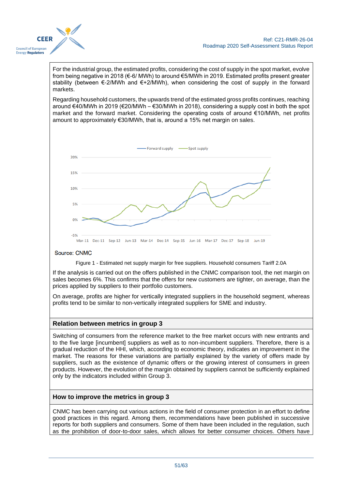

For the industrial group, the estimated profits, considering the cost of supply in the spot market, evolve from being negative in 2018 (€-6/ MWh) to around €5/MWh in 2019. Estimated profits present greater stability (between €-2/MWh and €+2/MWh), when considering the cost of supply in the forward markets.

Regarding household customers, the upwards trend of the estimated gross profits continues, reaching around €40/MWh in 2019 (€20/MWh – €30/MWh in 2018), considering a supply cost in both the spot market and the forward market. Considering the operating costs of around €10/MWh, net profits amount to approximately €30/MWh, that is, around a 15% net margin on sales.



#### <span id="page-50-0"></span>**Source: CNMC**

Figure 1 - Estimated net supply margin for free suppliers. Household consumers Tariff 2.0A

If the analysis is carried out on the offers published in the CNMC comparison tool, the net margin on sales becomes 6%. This confirms that the offers for new customers are tighter, on average, than the prices applied by suppliers to their portfolio customers.

On average, profits are higher for vertically integrated suppliers in the household segment, whereas profits tend to be similar to non-vertically integrated suppliers for SME and industry.

#### **Relation between metrics in group 3**

Switching of consumers from the reference market to the free market occurs with new entrants and to the five large [incumbent] suppliers as well as to non-incumbent suppliers. Therefore, there is a gradual reduction of the HHI, which, according to economic theory, indicates an improvement in the market. The reasons for these variations are partially explained by the variety of offers made by suppliers, such as the existence of dynamic offers or the growing interest of consumers in green products. However, the evolution of the margin obtained by suppliers cannot be sufficiently explained only by the indicators included within Group 3.

#### **How to improve the metrics in group 3**

CNMC has been carrying out various actions in the field of consumer protection in an effort to define good practices in this regard. Among them, recommendations have been published in successive reports for both suppliers and consumers. Some of them have been included in the regulation, such as the prohibition of door-to-door sales, which allows for better consumer choices. Others have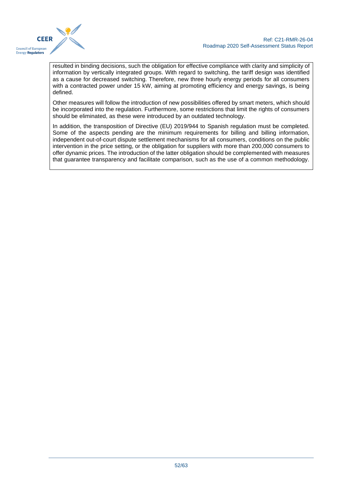

resulted in binding decisions, such the obligation for effective compliance with clarity and simplicity of information by vertically integrated groups. With regard to switching, the tariff design was identified as a cause for decreased switching. Therefore, new three hourly energy periods for all consumers with a contracted power under 15 kW, aiming at promoting efficiency and energy savings, is being defined.

Other measures will follow the introduction of new possibilities offered by smart meters, which should be incorporated into the regulation. Furthermore, some restrictions that limit the rights of consumers should be eliminated, as these were introduced by an outdated technology.

In addition, the transposition of Directive (EU) 2019/944 to Spanish regulation must be completed. Some of the aspects pending are the minimum requirements for billing and billing information, independent out-of-court dispute settlement mechanisms for all consumers, conditions on the public intervention in the price setting, or the obligation for suppliers with more than 200,000 consumers to offer dynamic prices. The introduction of the latter obligation should be complemented with measures that guarantee transparency and facilitate comparison, such as the use of a common methodology.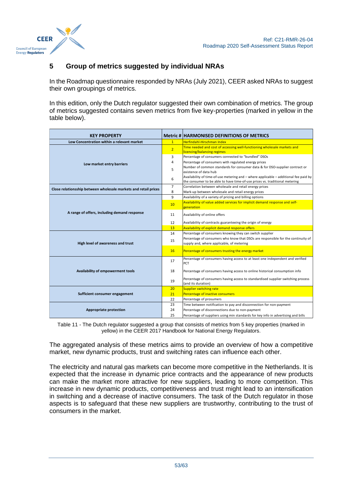

# <span id="page-52-0"></span>**5 Group of metrics suggested by individual NRAs**

In the Roadmap questionnaire responded by NRAs (July 2021), CEER asked NRAs to suggest their own groupings of metrics.

In this edition, only the Dutch regulator suggested their own combination of metrics. The group of metrics suggested contains seven metrics from five key-properties (marked in yellow in the table below).

| <b>KEY PROPERTY</b>                                             |                 | <b>Metric # HARMONISED DEFINITIONS OF METRICS</b>                                                                                                                   |  |
|-----------------------------------------------------------------|-----------------|---------------------------------------------------------------------------------------------------------------------------------------------------------------------|--|
| Low Concentration within a relevant market                      |                 | <b>Herfindahl-Hirschman Index</b>                                                                                                                                   |  |
|                                                                 |                 | Time needed and cost of accessing well-functioning wholesale markets and<br>licencing/balancing regimes                                                             |  |
|                                                                 | 3               | Percentage of consumers connected to "bundled" DSOs                                                                                                                 |  |
| Low market entry barriers                                       | 4               | Percentage of consumers with regulated energy prices                                                                                                                |  |
|                                                                 | 5               | Number of common standards for consumer data & for DSO-supplier contract or<br>existence of data hub                                                                |  |
|                                                                 | 6               | Availability of time-of-use metering and - where applicable - additional fee paid by<br>the consumer to be able to have time-of-use prices vs. traditional metering |  |
| Close relationsship between wholesale markets and retail prices | $\overline{7}$  | Correlation between wholesale and retail energy prices                                                                                                              |  |
|                                                                 | 8               | Mark-up between wholesale and retail energy prices                                                                                                                  |  |
|                                                                 | 9               | Availability of a variety of pricing and billing options                                                                                                            |  |
|                                                                 | 10 <sup>1</sup> | Availability of value added services for implicit demand response and self-<br>generation                                                                           |  |
| A range of offers, including demand response                    | 11              | Availability of online offers                                                                                                                                       |  |
|                                                                 | 12              | Availability of contracts guaranteeing the origin of energy                                                                                                         |  |
|                                                                 | 13              | Availability of explicit demand response offers                                                                                                                     |  |
|                                                                 | 14              | Percentage of consumers knowing they can switch supplier                                                                                                            |  |
| High level of awareness and trust                               | 15              | Percentage of consumers who know that DSOs are responsible for the continuity of<br>supply and, where applicable, of metering                                       |  |
|                                                                 | 16              | Percentage of consumers trusting the energy market                                                                                                                  |  |
|                                                                 | 17              | Percentage of consumers having access to at least one independent and verified<br>PCT                                                                               |  |
| Availability of empowerment tools                               | 18              | Percentage of consumers having access to online historical consumption info                                                                                         |  |
|                                                                 | 19              | Percentage of consumers having access to standardised supplier switching process<br>(and its duration)                                                              |  |
|                                                                 | 20              | <b>Supplier switching rate</b>                                                                                                                                      |  |
| Sufficient consumer engagement                                  | 21              | Percentage of inactive consumers                                                                                                                                    |  |
|                                                                 | 22              | Percentage of prosumers                                                                                                                                             |  |
|                                                                 | 23              | Time between notification to pay and disconnection for non-payment                                                                                                  |  |
| Appropriate protection                                          | 24              | Percentage of disconnections due to non-payment                                                                                                                     |  |
|                                                                 | 25              | Percentage of suppliers using min standards for key info in advertising and bills                                                                                   |  |

<span id="page-52-1"></span>Table 11 - The Dutch regulator suggested a group that consists of metrics from 5 key properties (marked in yellow) in the CEER 2017 Handbook for National Energy Regulators.

The aggregated analysis of these metrics aims to provide an overview of how a competitive market, new dynamic products, trust and switching rates can influence each other.

The electricity and natural gas markets can become more competitive in the Netherlands. It is expected that the increase in dynamic price contracts and the appearance of new products can make the market more attractive for new suppliers, leading to more competition. This increase in new dynamic products, competitiveness and trust might lead to an intensification in switching and a decrease of inactive consumers. The task of the Dutch regulator in those aspects is to safeguard that these new suppliers are trustworthy, contributing to the trust of consumers in the market.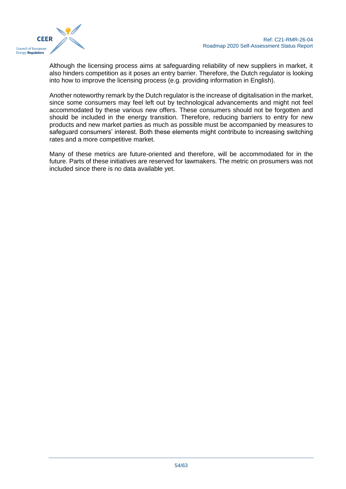

Although the licensing process aims at safeguarding reliability of new suppliers in market, it also hinders competition as it poses an entry barrier. Therefore, the Dutch regulator is looking into how to improve the licensing process (e.g. providing information in English).

Another noteworthy remark by the Dutch regulator is the increase of digitalisation in the market, since some consumers may feel left out by technological advancements and might not feel accommodated by these various new offers. These consumers should not be forgotten and should be included in the energy transition. Therefore, reducing barriers to entry for new products and new market parties as much as possible must be accompanied by measures to safeguard consumers' interest. Both these elements might contribute to increasing switching rates and a more competitive market.

Many of these metrics are future-oriented and therefore, will be accommodated for in the future. Parts of these initiatives are reserved for lawmakers. The metric on prosumers was not included since there is no data available yet.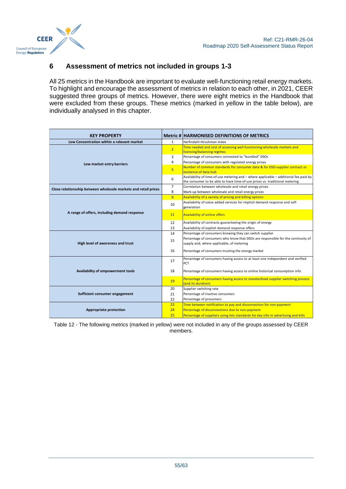

# <span id="page-54-0"></span>**6 Assessment of metrics not included in groups 1-3**

All 25 metrics in the Handbook are important to evaluate well-functioning retail energy markets. To highlight and encourage the assessment of metrics in relation to each other, in 2021, CEER suggested three groups of metrics. However, there were eight metrics in the Handbook that were excluded from these groups. These metrics (marked in yellow in the table below), are individually analysed in this chapter.

| <b>KEY PROPERTY</b>                                             |                | <b>Metric # HARMONISED DEFINITIONS OF METRICS</b>                                                                                                                   |  |  |
|-----------------------------------------------------------------|----------------|---------------------------------------------------------------------------------------------------------------------------------------------------------------------|--|--|
| Low Concentration within a relevant market                      |                | Herfindahl-Hirschman Index                                                                                                                                          |  |  |
|                                                                 |                | Time needed and cost of accessing well-functioning wholesale markets and<br>licencing/balancing regimes                                                             |  |  |
|                                                                 | 3              | Percentage of consumers connected to "bundled" DSOs                                                                                                                 |  |  |
| Low market entry barriers                                       | 4              | Percentage of consumers with regulated energy prices                                                                                                                |  |  |
|                                                                 | 5 <sup>5</sup> | Number of common standards for consumer data & for DSO-supplier contract or<br>existence of data hub                                                                |  |  |
|                                                                 | 6              | Availability of time-of-use metering and - where applicable - additional fee paid by<br>the consumer to be able to have time-of-use prices vs. traditional metering |  |  |
| Close relationsship between wholesale markets and retail prices | $\overline{7}$ | Correlation between wholesale and retail energy prices                                                                                                              |  |  |
|                                                                 | 8              | Mark-up between wholesale and retail energy prices                                                                                                                  |  |  |
|                                                                 | 9              | Availability of a variety of pricing and billing options                                                                                                            |  |  |
|                                                                 | 10             | Availability of value added services for implicit demand response and self-<br>generation                                                                           |  |  |
| A range of offers, including demand response                    | 11             | <b>Availability of online offers</b>                                                                                                                                |  |  |
|                                                                 | 12             | Availability of contracts guaranteeing the origin of energy                                                                                                         |  |  |
|                                                                 | 13             | Availability of explicit demand response offers                                                                                                                     |  |  |
|                                                                 | 14             | Percentage of consumers knowing they can switch supplier                                                                                                            |  |  |
| High level of awareness and trust                               | 15             | Percentage of consumers who know that DSOs are responsible for the continuity of<br>supply and, where applicable, of metering                                       |  |  |
|                                                                 | 16             | Percentage of consumers trusting the energy market                                                                                                                  |  |  |
|                                                                 | 17             | Percentage of consumers having access to at least one independent and verified<br>PCT                                                                               |  |  |
| Availability of empowerment tools                               | 18             | Percentage of consumers having access to online historical consumption info                                                                                         |  |  |
|                                                                 | 19             | Percentage of consumers having access to standardised supplier switching process<br>(and its duration)                                                              |  |  |
|                                                                 | 20             | Supplier switching rate                                                                                                                                             |  |  |
| Sufficient consumer engagement                                  | 21             | Percentage of inactive consumers                                                                                                                                    |  |  |
|                                                                 | 22             | Percentage of prosumers                                                                                                                                             |  |  |
|                                                                 | 23             | Time between notification to pay and disconnection for non-payment                                                                                                  |  |  |
| <b>Appropriate protection</b>                                   | 24             | Percentage of disconnections due to non-payment                                                                                                                     |  |  |
|                                                                 | 25             | Percentage of suppliers using min standards for key info in advertising and bills                                                                                   |  |  |

<span id="page-54-1"></span>Table 12 - The following metrics (marked in yellow) were not included in any of the groups assessed by CEER members.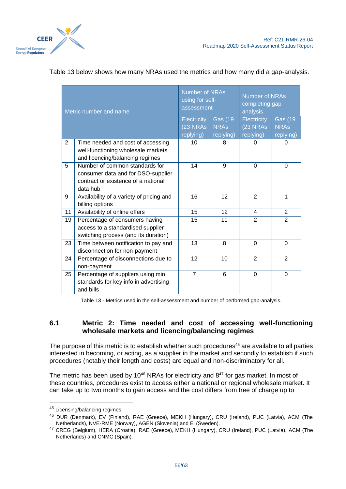

| Metric number and name |                                                                                                                         | <b>Number of NRAs</b><br>using for self-<br>assessment |                 | <b>Number of NRAs</b><br>completing gap-<br>analysis |                |
|------------------------|-------------------------------------------------------------------------------------------------------------------------|--------------------------------------------------------|-----------------|------------------------------------------------------|----------------|
|                        |                                                                                                                         | <b>Electricity</b>                                     | <b>Gas (19)</b> | <b>Electricity</b>                                   | <b>Gas (19</b> |
|                        |                                                                                                                         | (23 NRAs                                               | <b>NRAS</b>     | (23 NRAs                                             | <b>NRAs</b>    |
|                        |                                                                                                                         | replying)                                              | replying)       | replying)                                            | replying)      |
| $\overline{2}$         | Time needed and cost of accessing<br>well-functioning wholesale markets<br>and licencing/balancing regimes              | 10                                                     | 8               | $\Omega$                                             | 0              |
| 5                      | Number of common standards for<br>consumer data and for DSO-supplier<br>contract or existence of a national<br>data hub | 14                                                     | 9               | $\Omega$                                             | $\Omega$       |
| 9                      | Availability of a variety of pricing and<br>billing options                                                             | 16                                                     | 12              | $\overline{2}$                                       | 1              |
| 11                     | Availability of online offers                                                                                           | 15                                                     | 12              | 4                                                    | 2              |
| 19                     | Percentage of consumers having<br>access to a standardised supplier<br>switching process (and its duration)             | 15                                                     | 11              | $\overline{2}$                                       | $\overline{2}$ |
| 23                     | Time between notification to pay and<br>disconnection for non-payment                                                   | 13                                                     | 8               | $\overline{0}$                                       | $\Omega$       |
| 24                     | Percentage of disconnections due to<br>non-payment                                                                      | 12                                                     | 10              | $\overline{2}$                                       | 2              |
| 25                     | Percentage of suppliers using min<br>standards for key info in advertising<br>and bills                                 | $\overline{7}$                                         | 6               | $\mathbf 0$                                          | $\Omega$       |

#### [Table 13](#page-55-1) below shows how many NRAs used the metrics and how many did a gap-analysis.

Table 13 - Metrics used in the self-assessment and number of performed gap-analysis.

# <span id="page-55-1"></span><span id="page-55-0"></span>**6.1 Metric 2: Time needed and cost of accessing well-functioning wholesale markets and licencing/balancing regimes**

The purpose of this metric is to establish whether such procedures<sup>45</sup> are available to all parties interested in becoming, or acting, as a supplier in the market and secondly to establish if such procedures (notably their length and costs) are equal and non-discriminatory for all.

The metric has been used by 10 $46$  NRAs for electricity and  $8^{47}$  for gas market. In most of these countries, procedures exist to access either a national or regional wholesale market. It can take up to two months to gain access and the cost differs from free of charge up to

<sup>45</sup> Licensing/balancing regimes

<sup>46</sup> DUR (Denmark), EV (Finland), RAE (Greece), MEKH (Hungary), CRU (Ireland), PUC (Latvia), ACM (The Netherlands), NVE-RME (Norway), AGEN (Slovenia) and Ei (Sweden).

<sup>47</sup> CREG (Belgium), HERA (Croatia), RAE (Greece), MEKH (Hungary), CRU (Ireland), PUC (Latvia), ACM (The Netherlands) and CNMC (Spain).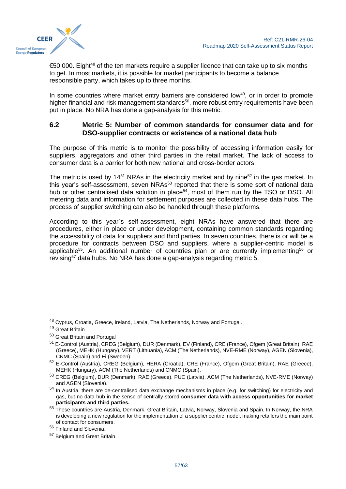

€50,000. Eight<sup>48</sup> of the ten markets require a supplier licence that can take up to six months to get. In most markets, it is possible for market participants to become a balance responsible party, which takes up to three months.

In some countries where market entry barriers are considered low<sup>49</sup>, or in order to promote higher financial and risk management standards<sup>50</sup>, more robust entry requirements have been put in place. No NRA has done a gap-analysis for this metric.

### <span id="page-56-0"></span>**6.2 Metric 5: Number of common standards for consumer data and for DSO-supplier contracts or existence of a national data hub**

The purpose of this metric is to monitor the possibility of accessing information easily for suppliers, aggregators and other third parties in the retail market. The lack of access to consumer data is a barrier for both new national and cross-border actors.

The metric is used by  $14^{51}$  NRAs in the electricity market and by nine<sup>52</sup> in the gas market. In this year's self-assessment, seven NRAs<sup>53</sup> reported that there is some sort of national data hub or other centralised data solution in place<sup>54</sup>, most of them run by the TSO or DSO. All metering data and information for settlement purposes are collected in these data hubs. The process of supplier switching can also be handled through these platforms.

According to this year´s self-assessment, eight NRAs have answered that there are procedures, either in place or under development, containing common standards regarding the accessibility of data for suppliers and third parties. In seven countries, there is or will be a procedure for contracts between DSO and suppliers, where a supplier-centric model is applicable<sup>55</sup>. An additional number of countries plan or are currently implementing<sup>56</sup> or revising<sup>57</sup> data hubs. No NRA has done a gap-analysis regarding metric 5.

<sup>48</sup> Cyprus, Croatia, Greece, Ireland, Latvia, The Netherlands, Norway and Portugal.

<sup>49</sup> Great Britain

<sup>50</sup> Great Britain and Portugal

<sup>&</sup>lt;sup>51</sup> E-Control (Austria), CREG (Belgium), DUR (Denmark), EV (Finland), CRE (France), Ofgem (Great Britain), RAE (Greece), MEHK (Hungary), VERT (Lithuania), ACM (The Netherlands), NVE-RME (Norway), AGEN (Slovenia), CNMC (Spain) and Ei (Sweden).

<sup>52</sup> E-Control (Austria), CREG (Belgium), HERA (Croatia), CRE (France), Ofgem (Great Britain), RAE (Greece), MEHK (Hungary), ACM (The Netherlands) and CNMC (Spain).

<sup>53</sup> CREG (Belgium), DUR (Denmark), RAE (Greece), PUC (Latvia), ACM (The Netherlands), NVE-RME (Norway) and AGEN (Slovenia).

<sup>54</sup> In Austria, there are de-centralised data exchange mechanisms in place (e.g. for switching) for electricity and gas, but no data hub in the sense of centrally-stored **consumer data with access opportunities for market participants and third parties.**

<sup>55</sup> These countries are Austria, Denmark, Great Britain, Latvia, Norway, Slovenia and Spain. In Norway, the NRA is developing a new regulation for the implementation of a supplier centric model, making retailers the main point of contact for consumers.

<sup>56</sup> Finland and Slovenia.

<sup>57</sup> Belgium and Great Britain.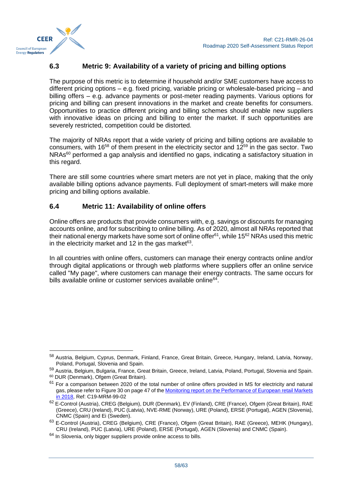

# <span id="page-57-0"></span>**6.3 Metric 9: Availability of a variety of pricing and billing options**

The purpose of this metric is to determine if household and/or SME customers have access to different pricing options – e.g. fixed pricing, variable pricing or wholesale-based pricing – and billing offers – e.g. advance payments or post-meter reading payments. Various options for pricing and billing can present innovations in the market and create benefits for consumers. Opportunities to practice different pricing and billing schemes should enable new suppliers with innovative ideas on pricing and billing to enter the market. If such opportunities are severely restricted, competition could be distorted.

The majority of NRAs report that a wide variety of pricing and billing options are available to consumers, with  $16^{58}$  of them present in the electricity sector and  $12^{59}$  in the gas sector. Two  $NRAs<sup>60</sup>$  performed a gap analysis and identified no gaps, indicating a satisfactory situation in this regard.

There are still some countries where smart meters are not yet in place, making that the only available billing options advance payments. Full deployment of smart-meters will make more pricing and billing options available.

# <span id="page-57-1"></span>**6.4 Metric 11: Availability of online offers**

Online offers are products that provide consumers with, e.g. savings or discounts for managing accounts online, and for subscribing to online billing. As of 2020, almost all NRAs reported that their national energy markets have some sort of online offer<sup>61</sup>, while 15<sup>62</sup> NRAs used this metric in the electricity market and 12 in the gas market $^{63}$ .

In all countries with online offers, customers can manage their energy contracts online and/or through digital applications or through web platforms where suppliers offer an online service called "My page", where customers can manage their energy contracts. The same occurs for bills available online or customer services available online<sup>64</sup>.

<sup>58</sup> Austria, Belgium, Cyprus, Denmark, Finland, France, Great Britain, Greece, Hungary, Ireland, Latvia, Norway, Poland, Portugal, Slovenia and Spain.

<sup>59</sup> Austria, Belgium, Bulgaria, France, Great Britain, Greece, Ireland, Latvia, Poland, Portugal, Slovenia and Spain. <sup>60</sup> DUR (Denmark), Ofgem (Great Britain).

 $61$  For a comparison between 2020 of the total number of online offers provided in MS for electricity and natural gas, please refer to Figure 30 on page 47 of the Monitoring report on the Performance of European retail Markets [in 2018,](https://www.ceer.eu/1765) Ref: C19-MRM-99-02

<sup>62</sup> E-Control (Austria), CREG (Belgium), DUR (Denmark), EV (Finland), CRE (France), Ofgem (Great Britain), RAE (Greece), CRU (Ireland), PUC (Latvia), NVE-RME (Norway), URE (Poland), ERSE (Portugal), AGEN (Slovenia), CNMC (Spain) and Ei (Sweden).

<sup>63</sup> E-Control (Austria), CREG (Belgium), CRE (France), Ofgem (Great Britain), RAE (Greece), MEHK (Hungary), CRU (Ireland), PUC (Latvia), URE (Poland), ERSE (Portugal), AGEN (Slovenia) and CNMC (Spain).

<sup>&</sup>lt;sup>64</sup> In Slovenia, only bigger suppliers provide online access to bills.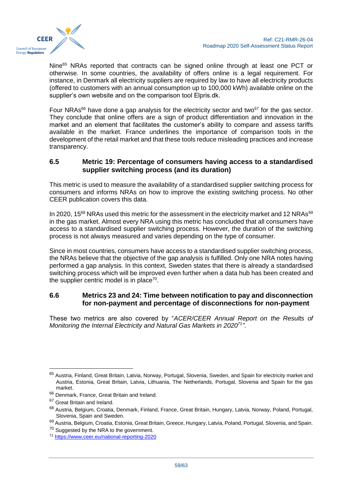

Nine<sup>65</sup> NRAs reported that contracts can be signed online through at least one PCT or otherwise. In some countries, the availability of offers online is a legal requirement. For instance, in Denmark all electricity suppliers are required by law to have all electricity products (offered to customers with an annual consumption up to 100,000 kWh) available online on the supplier's own website and on the comparison tool Elpris.dk.

Four NRAs<sup>66</sup> have done a gap analysis for the electricity sector and two<sup>67</sup> for the gas sector. They conclude that online offers are a sign of product differentiation and innovation in the market and an element that facilitates the customer's ability to compare and assess tariffs available in the market. France underlines the importance of comparison tools in the development of the retail market and that these tools reduce misleading practices and increase transparency.

#### <span id="page-58-0"></span>**6.5 Metric 19: Percentage of consumers having access to a standardised supplier switching process (and its duration)**

This metric is used to measure the availability of a standardised supplier switching process for consumers and informs NRAs on how to improve the existing switching process. No other CEER publication covers this data.

In 2020, 15 $^{68}$  NRAs used this metric for the assessment in the electricity market and 12 NRAs $^{69}$ in the gas market. Almost every NRA using this metric has concluded that all consumers have access to a standardised supplier switching process. However, the duration of the switching process is not always measured and varies depending on the type of consumer.

Since in most countries, consumers have access to a standardised supplier switching process, the NRAs believe that the objective of the gap analysis is fulfilled. Only one NRA notes having performed a gap analysis. In this context, Sweden states that there is already a standardised switching process which will be improved even further when a data hub has been created and the supplier centric model is in place<sup>70</sup>.

#### <span id="page-58-1"></span>**6.6 Metrics 23 and 24: Time between notification to pay and disconnection for non-payment and percentage of disconnections for non-payment**

These two metrics are also covered by "*ACER/CEER Annual Report on the Results of Monitoring the Internal Electricity and Natural Gas Markets in 2020<sup>71</sup> "*.

<sup>65</sup> Austria, Finland, Great Britain, Latvia, Norway, Portugal, Slovenia, Sweden, and Spain for electricity market and Austria, Estonia, Great Britain, Latvia, Lithuania, The Netherlands, Portugal, Slovenia and Spain for the gas market.

<sup>&</sup>lt;sup>66</sup> Denmark, France, Great Britain and Ireland.

<sup>&</sup>lt;sup>67</sup> Great Britain and Ireland.

<sup>68</sup> Austria, Belgium, Croatia, Denmark, Finland, France, Great Britain, Hungary, Latvia, Norway, Poland, Portugal, Slovenia, Spain and Sweden.

<sup>69</sup> Austria, Belgium, Croatia, Estonia, Great Britain, Greece, Hungary, Latvia, Poland, Portugal, Slovenia, and Spain.

 $70$  Suggested by the NRA to the government.

<sup>71</sup> <https://www.ceer.eu/national-reporting-2020>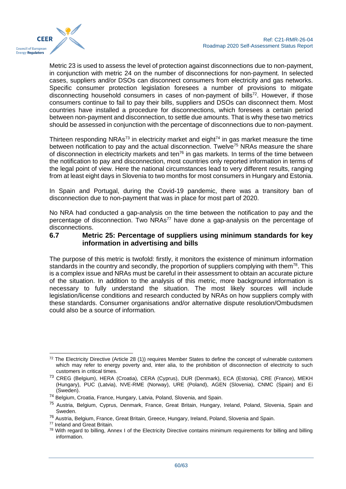

Metric 23 is used to assess the level of protection against disconnections due to non-payment, in conjunction with metric 24 on the number of disconnections for non-payment. In selected cases, suppliers and/or DSOs can disconnect consumers from electricity and gas networks. Specific consumer protection legislation foresees a number of provisions to mitigate disconnecting household consumers in cases of non-payment of bills<sup>72</sup>. However, if those consumers continue to fail to pay their bills, suppliers and DSOs can disconnect them. Most countries have installed a procedure for disconnections, which foresees a certain period between non-payment and disconnection, to settle due amounts. That is why these two metrics should be assessed in conjunction with the percentage of disconnections due to non-payment.

Thirteen responding NRAs<sup>73</sup> in electricity market and eight<sup>74</sup> in gas market measure the time between notification to pay and the actual disconnection. Twelve<sup>75</sup> NRAs measure the share of disconnection in electricity markets and ten $^{76}$  in gas markets. In terms of the time between the notification to pay and disconnection, most countries only reported information in terms of the legal point of view. Here the national circumstances lead to very different results, ranging from at least eight days in Slovenia to two months for most consumers in Hungary and Estonia.

In Spain and Portugal, during the Covid-19 pandemic, there was a transitory ban of disconnection due to non-payment that was in place for most part of 2020.

No NRA had conducted a gap-analysis on the time between the notification to pay and the percentage of disconnection. Two  $NRAs<sup>77</sup>$  have done a gap-analysis on the percentage of disconnections.

#### <span id="page-59-0"></span>**6.7 Metric 25: Percentage of suppliers using minimum standards for key information in advertising and bills**

The purpose of this metric is twofold: firstly, it monitors the existence of minimum information standards in the country and secondly, the proportion of suppliers complying with them $^{78}$ . This is a complex issue and NRAs must be careful in their assessment to obtain an accurate picture of the situation. In addition to the analysis of this metric, more background information is necessary to fully understand the situation. The most likely sources will include legislation/license conditions and research conducted by NRAs on how suppliers comply with these standards. Consumer organisations and/or alternative dispute resolution/Ombudsmen could also be a source of information.

 $72$  The Electricity Directive (Article 28 (1)) requires Member States to define the concept of vulnerable customers which may refer to energy poverty and, inter alia, to the prohibition of disconnection of electricity to such customers in critical times.

<sup>73</sup> CREG (Belgium), HERA (Croatia), CERA (Cyprus), DUR (Denmark), ECA (Estonia), CRE (France), MEKH (Hungary), PUC (Latvia), NVE-RME (Norway), URE (Poland), AGEN (Slovenia), CNMC (Spain) and Ei (Sweden).

<sup>74</sup> Belgium, Croatia, France, Hungary, Latvia, Poland, Slovenia, and Spain.

<sup>75</sup> Austria, Belgium, Cyprus, Denmark, France, Great Britain, Hungary, Ireland, Poland, Slovenia, Spain and Sweden.

<sup>76</sup> Austria, Belgium, France, Great Britain, Greece, Hungary, Ireland, Poland, Slovenia and Spain.

<sup>77</sup> Ireland and Great Britain.

 $78$  With regard to billing, Annex I of the Electricity Directive contains minimum requirements for billing and billing information.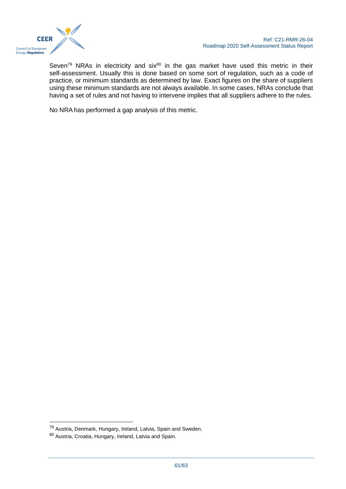

Seven<sup>79</sup> NRAs in electricity and six $80$  in the gas market have used this metric in their self-assessment. Usually this is done based on some sort of regulation, such as a code of practice, or minimum standards as determined by law. Exact figures on the share of suppliers using these minimum standards are not always available. In some cases, NRAs conclude that having a set of rules and not having to intervene implies that all suppliers adhere to the rules.

No NRA has performed a gap analysis of this metric.

<sup>79</sup> Austria, Denmark, Hungary, Ireland, Latvia, Spain and Sweden.

<sup>80</sup> Austria, Croatia, Hungary, Ireland, Latvia and Spain.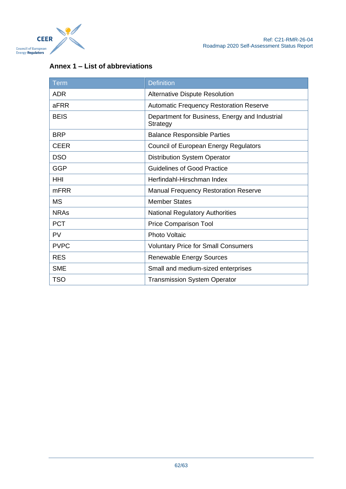

# <span id="page-61-0"></span>**Annex 1 – List of abbreviations**

| Term        | <b>Definition</b>                                          |
|-------------|------------------------------------------------------------|
| <b>ADR</b>  | <b>Alternative Dispute Resolution</b>                      |
| aFRR        | <b>Automatic Frequency Restoration Reserve</b>             |
| <b>BEIS</b> | Department for Business, Energy and Industrial<br>Strategy |
| <b>BRP</b>  | <b>Balance Responsible Parties</b>                         |
| <b>CEER</b> | <b>Council of European Energy Regulators</b>               |
| <b>DSO</b>  | <b>Distribution System Operator</b>                        |
| <b>GGP</b>  | <b>Guidelines of Good Practice</b>                         |
| <b>HHI</b>  | Herfindahl-Hirschman Index                                 |
| mFRR        | <b>Manual Frequency Restoration Reserve</b>                |
| <b>MS</b>   | <b>Member States</b>                                       |
| <b>NRAs</b> | <b>National Regulatory Authorities</b>                     |
| <b>PCT</b>  | <b>Price Comparison Tool</b>                               |
| PV          | Photo Voltaic                                              |
| <b>PVPC</b> | <b>Voluntary Price for Small Consumers</b>                 |
| <b>RES</b>  | <b>Renewable Energy Sources</b>                            |
| <b>SME</b>  | Small and medium-sized enterprises                         |
| <b>TSO</b>  | <b>Transmission System Operator</b>                        |